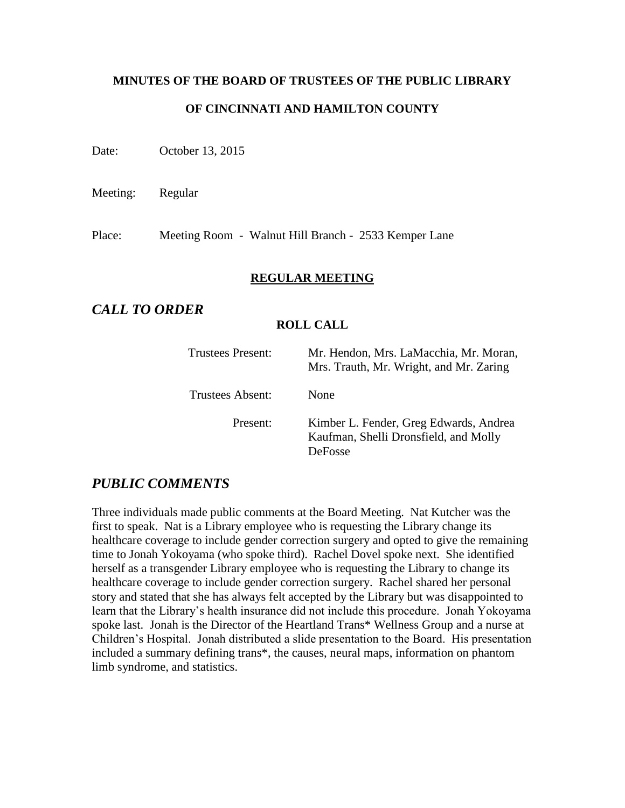# **MINUTES OF THE BOARD OF TRUSTEES OF THE PUBLIC LIBRARY OF CINCINNATI AND HAMILTON COUNTY**

Date: October 13, 2015

Meeting: Regular

Place: Meeting Room - Walnut Hill Branch - 2533 Kemper Lane

#### **REGULAR MEETING**

# *CALL TO ORDER*

#### **ROLL CALL**

| <b>Trustees Present:</b> | Mr. Hendon, Mrs. LaMacchia, Mr. Moran,<br>Mrs. Trauth, Mr. Wright, and Mr. Zaring          |
|--------------------------|--------------------------------------------------------------------------------------------|
| Trustees Absent:         | None                                                                                       |
| Present:                 | Kimber L. Fender, Greg Edwards, Andrea<br>Kaufman, Shelli Dronsfield, and Molly<br>DeFosse |

# *PUBLIC COMMENTS*

Three individuals made public comments at the Board Meeting. Nat Kutcher was the first to speak. Nat is a Library employee who is requesting the Library change its healthcare coverage to include gender correction surgery and opted to give the remaining time to Jonah Yokoyama (who spoke third). Rachel Dovel spoke next. She identified herself as a transgender Library employee who is requesting the Library to change its healthcare coverage to include gender correction surgery. Rachel shared her personal story and stated that she has always felt accepted by the Library but was disappointed to learn that the Library's health insurance did not include this procedure. Jonah Yokoyama spoke last. Jonah is the Director of the Heartland Trans\* Wellness Group and a nurse at Children's Hospital. Jonah distributed a slide presentation to the Board. His presentation included a summary defining trans\*, the causes, neural maps, information on phantom limb syndrome, and statistics.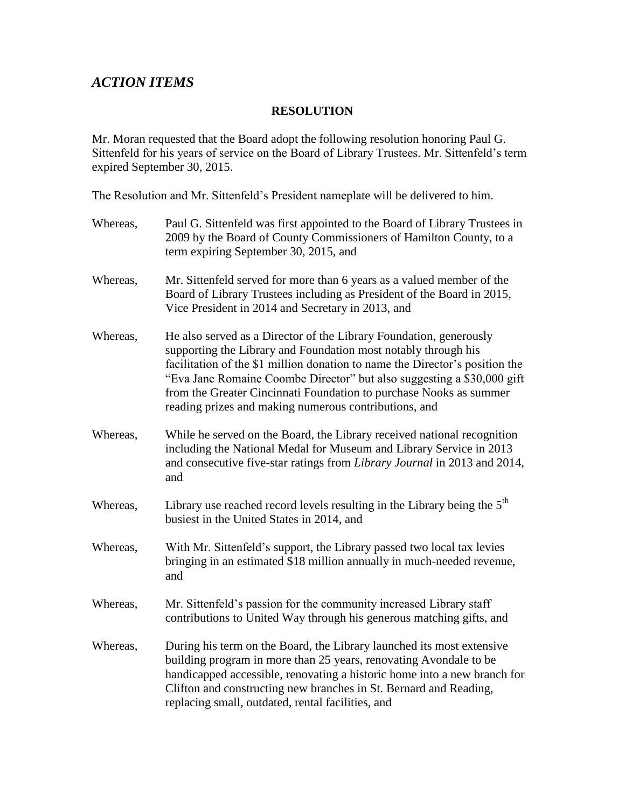# *ACTION ITEMS*

#### **RESOLUTION**

Mr. Moran requested that the Board adopt the following resolution honoring Paul G. Sittenfeld for his years of service on the Board of Library Trustees. Mr. Sittenfeld's term expired September 30, 2015.

The Resolution and Mr. Sittenfeld's President nameplate will be delivered to him.

| Whereas, | Paul G. Sittenfeld was first appointed to the Board of Library Trustees in<br>2009 by the Board of County Commissioners of Hamilton County, to a<br>term expiring September 30, 2015, and                                                                                                                                                                                                                                     |
|----------|-------------------------------------------------------------------------------------------------------------------------------------------------------------------------------------------------------------------------------------------------------------------------------------------------------------------------------------------------------------------------------------------------------------------------------|
| Whereas, | Mr. Sittenfeld served for more than 6 years as a valued member of the<br>Board of Library Trustees including as President of the Board in 2015,<br>Vice President in 2014 and Secretary in 2013, and                                                                                                                                                                                                                          |
| Whereas, | He also served as a Director of the Library Foundation, generously<br>supporting the Library and Foundation most notably through his<br>facilitation of the \$1 million donation to name the Director's position the<br>"Eva Jane Romaine Coombe Director" but also suggesting a \$30,000 gift<br>from the Greater Cincinnati Foundation to purchase Nooks as summer<br>reading prizes and making numerous contributions, and |
| Whereas, | While he served on the Board, the Library received national recognition<br>including the National Medal for Museum and Library Service in 2013<br>and consecutive five-star ratings from Library Journal in 2013 and 2014,<br>and                                                                                                                                                                                             |
| Whereas, | Library use reached record levels resulting in the Library being the 5 <sup>th</sup><br>busiest in the United States in 2014, and                                                                                                                                                                                                                                                                                             |
| Whereas, | With Mr. Sittenfeld's support, the Library passed two local tax levies<br>bringing in an estimated \$18 million annually in much-needed revenue,<br>and                                                                                                                                                                                                                                                                       |
| Whereas, | Mr. Sittenfeld's passion for the community increased Library staff<br>contributions to United Way through his generous matching gifts, and                                                                                                                                                                                                                                                                                    |
| Whereas, | During his term on the Board, the Library launched its most extensive<br>building program in more than 25 years, renovating Avondale to be<br>handicapped accessible, renovating a historic home into a new branch for<br>Clifton and constructing new branches in St. Bernard and Reading,<br>replacing small, outdated, rental facilities, and                                                                              |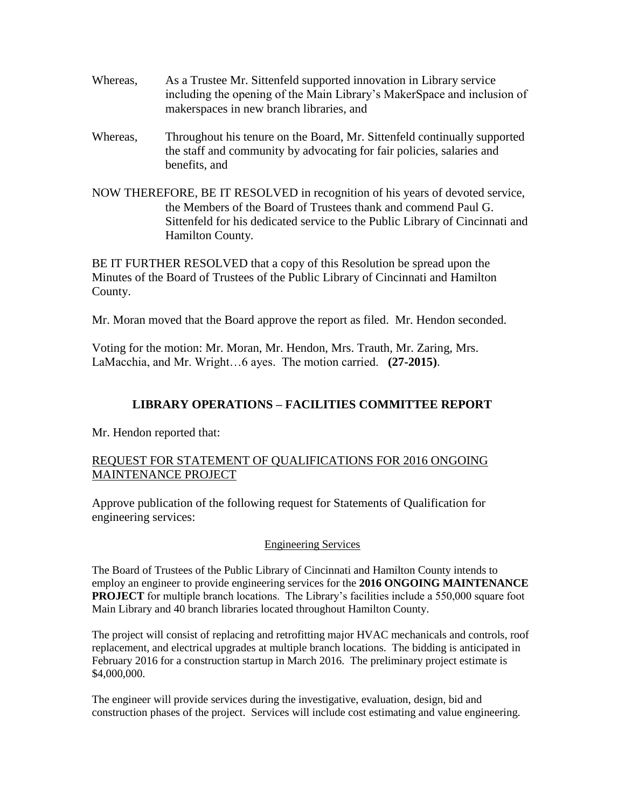- Whereas, As a Trustee Mr. Sittenfeld supported innovation in Library service including the opening of the Main Library's MakerSpace and inclusion of makerspaces in new branch libraries, and
- Whereas, Throughout his tenure on the Board, Mr. Sittenfeld continually supported the staff and community by advocating for fair policies, salaries and benefits, and
- NOW THEREFORE, BE IT RESOLVED in recognition of his years of devoted service, the Members of the Board of Trustees thank and commend Paul G. Sittenfeld for his dedicated service to the Public Library of Cincinnati and Hamilton County.

BE IT FURTHER RESOLVED that a copy of this Resolution be spread upon the Minutes of the Board of Trustees of the Public Library of Cincinnati and Hamilton County.

Mr. Moran moved that the Board approve the report as filed. Mr. Hendon seconded.

Voting for the motion: Mr. Moran, Mr. Hendon, Mrs. Trauth, Mr. Zaring, Mrs. LaMacchia, and Mr. Wright…6 ayes. The motion carried. **(27-2015)**.

### **LIBRARY OPERATIONS – FACILITIES COMMITTEE REPORT**

Mr. Hendon reported that:

### REQUEST FOR STATEMENT OF QUALIFICATIONS FOR 2016 ONGOING MAINTENANCE PROJECT

Approve publication of the following request for Statements of Qualification for engineering services:

#### Engineering Services

The Board of Trustees of the Public Library of Cincinnati and Hamilton County intends to employ an engineer to provide engineering services for the **2016 ONGOING MAINTENANCE PROJECT** for multiple branch locations. The Library's facilities include a 550,000 square foot Main Library and 40 branch libraries located throughout Hamilton County.

The project will consist of replacing and retrofitting major HVAC mechanicals and controls, roof replacement, and electrical upgrades at multiple branch locations. The bidding is anticipated in February 2016 for a construction startup in March 2016. The preliminary project estimate is \$4,000,000.

The engineer will provide services during the investigative, evaluation, design, bid and construction phases of the project. Services will include cost estimating and value engineering.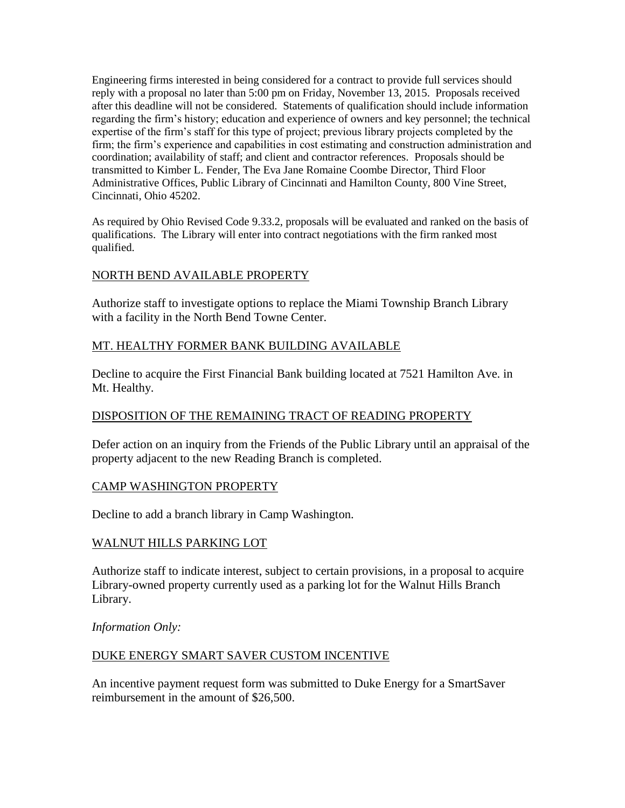Engineering firms interested in being considered for a contract to provide full services should reply with a proposal no later than 5:00 pm on Friday, November 13, 2015. Proposals received after this deadline will not be considered. Statements of qualification should include information regarding the firm's history; education and experience of owners and key personnel; the technical expertise of the firm's staff for this type of project; previous library projects completed by the firm; the firm's experience and capabilities in cost estimating and construction administration and coordination; availability of staff; and client and contractor references. Proposals should be transmitted to Kimber L. Fender, The Eva Jane Romaine Coombe Director, Third Floor Administrative Offices, Public Library of Cincinnati and Hamilton County, 800 Vine Street, Cincinnati, Ohio 45202.

As required by Ohio Revised Code 9.33.2, proposals will be evaluated and ranked on the basis of qualifications. The Library will enter into contract negotiations with the firm ranked most qualified.

#### NORTH BEND AVAILABLE PROPERTY

Authorize staff to investigate options to replace the Miami Township Branch Library with a facility in the North Bend Towne Center.

#### MT. HEALTHY FORMER BANK BUILDING AVAILABLE

Decline to acquire the First Financial Bank building located at 7521 Hamilton Ave. in Mt. Healthy.

#### DISPOSITION OF THE REMAINING TRACT OF READING PROPERTY

Defer action on an inquiry from the Friends of the Public Library until an appraisal of the property adjacent to the new Reading Branch is completed.

#### CAMP WASHINGTON PROPERTY

Decline to add a branch library in Camp Washington.

#### WALNUT HILLS PARKING LOT

Authorize staff to indicate interest, subject to certain provisions, in a proposal to acquire Library-owned property currently used as a parking lot for the Walnut Hills Branch Library.

*Information Only:*

#### DUKE ENERGY SMART SAVER CUSTOM INCENTIVE

An incentive payment request form was submitted to Duke Energy for a SmartSaver reimbursement in the amount of \$26,500.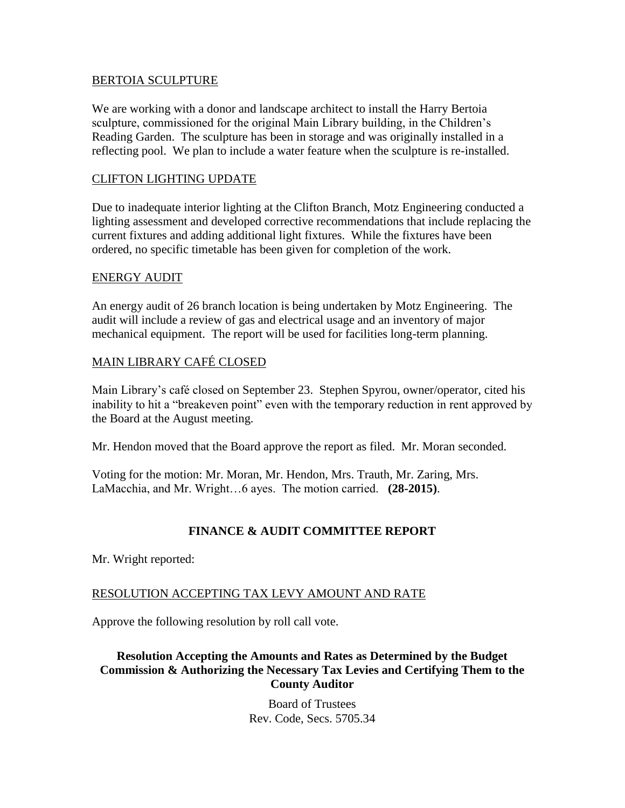#### BERTOIA SCULPTURE

We are working with a donor and landscape architect to install the Harry Bertoia sculpture, commissioned for the original Main Library building, in the Children's Reading Garden. The sculpture has been in storage and was originally installed in a reflecting pool. We plan to include a water feature when the sculpture is re-installed.

#### CLIFTON LIGHTING UPDATE

Due to inadequate interior lighting at the Clifton Branch, Motz Engineering conducted a lighting assessment and developed corrective recommendations that include replacing the current fixtures and adding additional light fixtures. While the fixtures have been ordered, no specific timetable has been given for completion of the work.

#### ENERGY AUDIT

An energy audit of 26 branch location is being undertaken by Motz Engineering. The audit will include a review of gas and electrical usage and an inventory of major mechanical equipment. The report will be used for facilities long-term planning.

#### MAIN LIBRARY CAFÉ CLOSED

Main Library's café closed on September 23. Stephen Spyrou, owner/operator, cited his inability to hit a "breakeven point" even with the temporary reduction in rent approved by the Board at the August meeting.

Mr. Hendon moved that the Board approve the report as filed. Mr. Moran seconded.

Voting for the motion: Mr. Moran, Mr. Hendon, Mrs. Trauth, Mr. Zaring, Mrs. LaMacchia, and Mr. Wright…6 ayes. The motion carried. **(28-2015)**.

### **FINANCE & AUDIT COMMITTEE REPORT**

Mr. Wright reported:

#### RESOLUTION ACCEPTING TAX LEVY AMOUNT AND RATE

Approve the following resolution by roll call vote.

**Resolution Accepting the Amounts and Rates as Determined by the Budget Commission & Authorizing the Necessary Tax Levies and Certifying Them to the County Auditor**

> Board of Trustees Rev. Code, Secs. 5705.34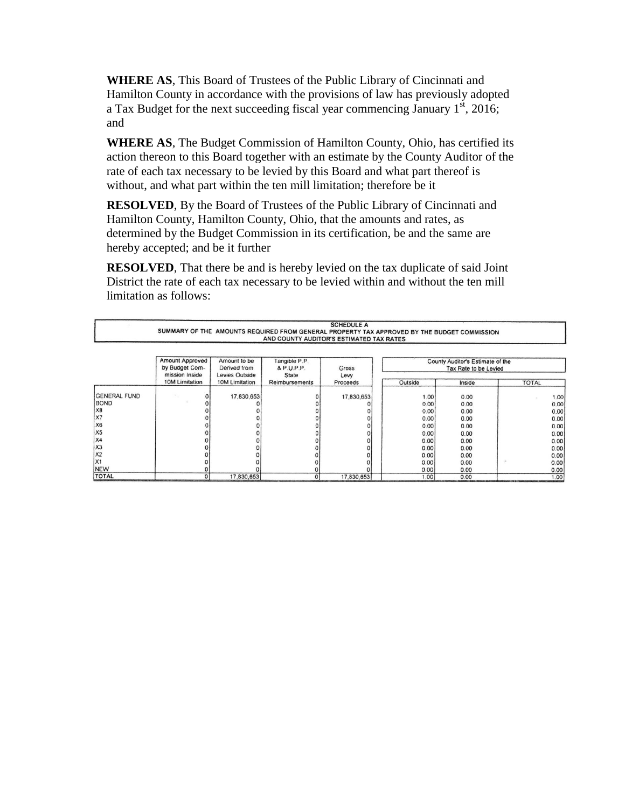**WHERE AS**, This Board of Trustees of the Public Library of Cincinnati and Hamilton County in accordance with the provisions of law has previously adopted a Tax Budget for the next succeeding fiscal year commencing January  $1^{st}$ , 2016; and

**WHERE AS**, The Budget Commission of Hamilton County, Ohio, has certified its action thereon to this Board together with an estimate by the County Auditor of the rate of each tax necessary to be levied by this Board and what part thereof is without, and what part within the ten mill limitation; therefore be it

**RESOLVED**, By the Board of Trustees of the Public Library of Cincinnati and Hamilton County, Hamilton County, Ohio, that the amounts and rates, as determined by the Budget Commission in its certification, be and the same are hereby accepted; and be it further

**RESOLVED**, That there be and is hereby levied on the tax duplicate of said Joint District the rate of each tax necessary to be levied within and without the ten mill limitation as follows:

|                     | <b>SCHEDULE A</b><br>SUMMARY OF THE AMOUNTS REQUIRED FROM GENERAL PROPERTY TAX APPROVED BY THE BUDGET COMMISSION<br>AND COUNTY AUDITOR'S ESTIMATED TAX RATES |                                                       |                                      |               |              |                                                           |              |
|---------------------|--------------------------------------------------------------------------------------------------------------------------------------------------------------|-------------------------------------------------------|--------------------------------------|---------------|--------------|-----------------------------------------------------------|--------------|
|                     | <b>Amount Approved</b><br>by Budget Com-<br>mission Inside                                                                                                   | Amount to be<br>Derived from<br><b>Levies Outside</b> | Tangible P.P.<br>& P.U.P.P.<br>State | Gross<br>Levy |              | County Auditor's Estimate of the<br>Tax Rate to be Levied |              |
|                     | 10M Limitation                                                                                                                                               | 10M Limitation                                        | Reimbursements                       | Proceeds      | Outside      | Inside                                                    | <b>TOTAL</b> |
| <b>GENERAL FUND</b> |                                                                                                                                                              | 17,830,653                                            |                                      | 17,830,653    | 1.00         | 0.00                                                      | 1.00         |
| <b>BOND</b><br>X8   |                                                                                                                                                              |                                                       |                                      |               | 0.00<br>0.00 | 0.00<br>0.00                                              | 0.00<br>0.00 |
| X7                  |                                                                                                                                                              |                                                       |                                      |               | 0.00         | 0.00                                                      | 0.00         |
| <b>X6</b>           |                                                                                                                                                              |                                                       |                                      |               | 0.00         | 0.00                                                      | 0.00         |
| X <sub>5</sub>      |                                                                                                                                                              |                                                       |                                      |               | 0.00         | 0.00                                                      | 0.00         |
| X4<br> X3           |                                                                                                                                                              |                                                       |                                      |               | 0.00         | 0.00                                                      | 0.00         |
| X <sub>2</sub>      |                                                                                                                                                              |                                                       |                                      |               | 0.00         | 0.00                                                      | 0.00         |
| X <sub>1</sub>      |                                                                                                                                                              |                                                       |                                      |               | 0.00<br>0.00 | 0.00<br>0.00                                              | 0.00<br>0.00 |
| NEW                 |                                                                                                                                                              |                                                       |                                      |               | 0.00         | 0.00                                                      | 0.00         |
| <b>TOTAL</b>        |                                                                                                                                                              | 17,830,653                                            |                                      | 17,830,653    | 1.00         | 0.00                                                      | 1.00         |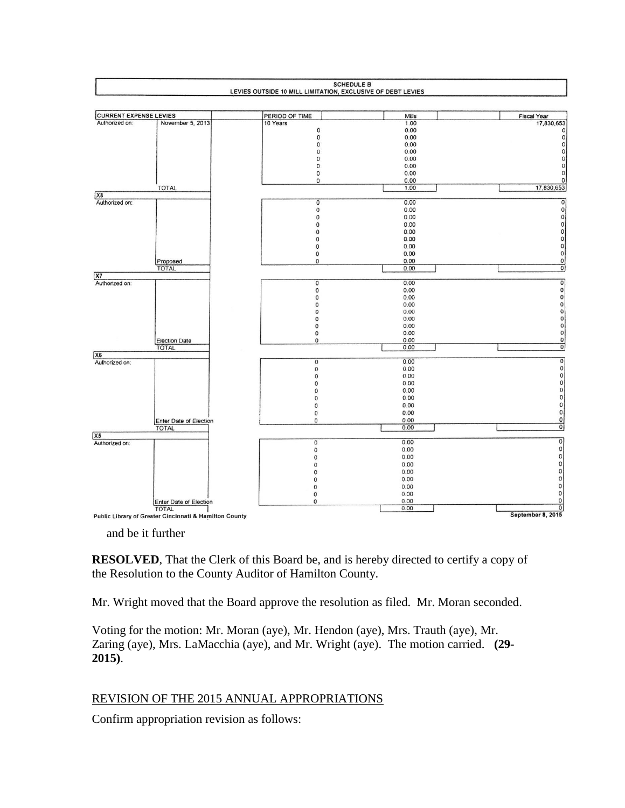

and be it further

**RESOLVED**, That the Clerk of this Board be, and is hereby directed to certify a copy of the Resolution to the County Auditor of Hamilton County.

Mr. Wright moved that the Board approve the resolution as filed. Mr. Moran seconded.

Voting for the motion: Mr. Moran (aye), Mr. Hendon (aye), Mrs. Trauth (aye), Mr. Zaring (aye), Mrs. LaMacchia (aye), and Mr. Wright (aye). The motion carried. **(29- 2015)**.

### REVISION OF THE 2015 ANNUAL APPROPRIATIONS

Confirm appropriation revision as follows: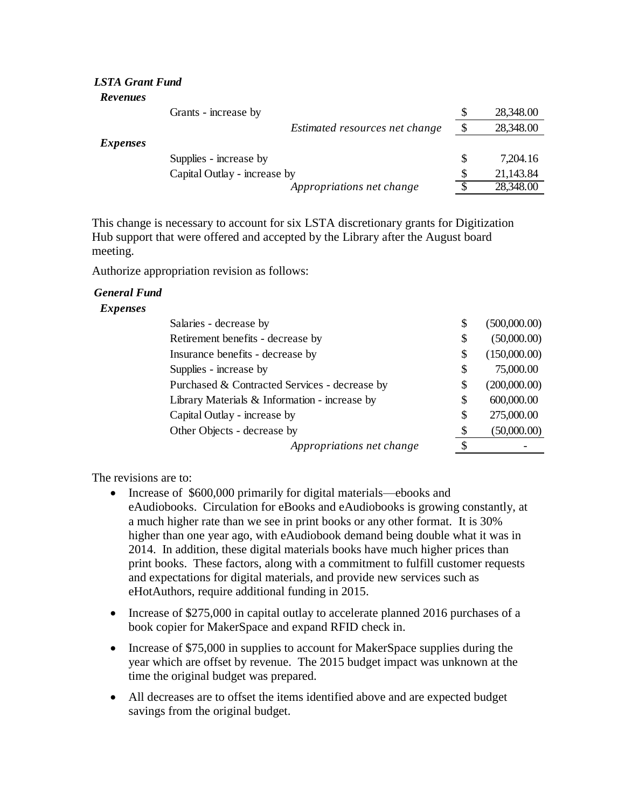#### *LSTA Grant Fund Revenues*

| Grants - increase by           | S | 28,348.00 |
|--------------------------------|---|-----------|
| Estimated resources net change | S | 28,348.00 |
| <i>Expenses</i>                |   |           |
| Supplies - increase by         |   | 7,204.16  |
| Capital Outlay - increase by   |   | 21,143.84 |
| Appropriations net change      | ◐ | 28,348.00 |

This change is necessary to account for six LSTA discretionary grants for Digitization Hub support that were offered and accepted by the Library after the August board meeting.

Authorize appropriation revision as follows:

#### *General Fund*

#### *Expenses*

| Salaries - decrease by                        |    | (500,000.00) |
|-----------------------------------------------|----|--------------|
| Retirement benefits - decrease by             |    | (50,000.00)  |
| Insurance benefits - decrease by              | S  | (150,000.00) |
| Supplies - increase by                        | S  | 75,000.00    |
| Purchased & Contracted Services - decrease by | S  | (200,000.00) |
| Library Materials & Information - increase by | S  | 600,000.00   |
| Capital Outlay - increase by                  | S  | 275,000.00   |
| Other Objects - decrease by                   | \$ | (50,000.00)  |
| Appropriations net change                     | S  |              |

The revisions are to:

- Increase of \$600,000 primarily for digital materials—ebooks and eAudiobooks. Circulation for eBooks and eAudiobooks is growing constantly, at a much higher rate than we see in print books or any other format. It is 30% higher than one year ago, with eAudiobook demand being double what it was in 2014. In addition, these digital materials books have much higher prices than print books. These factors, along with a commitment to fulfill customer requests and expectations for digital materials, and provide new services such as eHotAuthors, require additional funding in 2015.
- Increase of \$275,000 in capital outlay to accelerate planned 2016 purchases of a book copier for MakerSpace and expand RFID check in.
- Increase of \$75,000 in supplies to account for MakerSpace supplies during the year which are offset by revenue. The 2015 budget impact was unknown at the time the original budget was prepared.
- All decreases are to offset the items identified above and are expected budget savings from the original budget.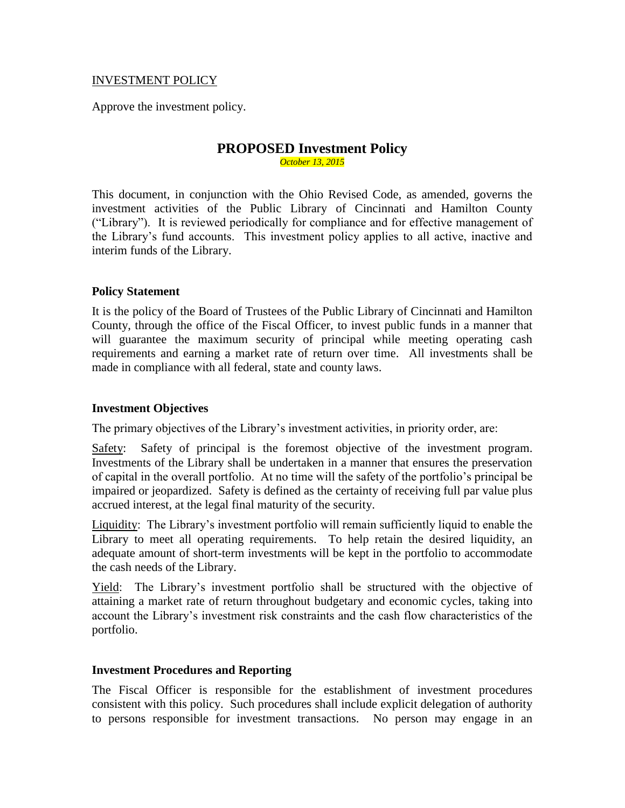#### INVESTMENT POLICY

Approve the investment policy.

#### **PROPOSED Investment Policy** *October 13, 2015*

This document, in conjunction with the Ohio Revised Code, as amended, governs the investment activities of the Public Library of Cincinnati and Hamilton County ("Library"). It is reviewed periodically for compliance and for effective management of the Library's fund accounts. This investment policy applies to all active, inactive and interim funds of the Library.

#### **Policy Statement**

It is the policy of the Board of Trustees of the Public Library of Cincinnati and Hamilton County, through the office of the Fiscal Officer, to invest public funds in a manner that will guarantee the maximum security of principal while meeting operating cash requirements and earning a market rate of return over time. All investments shall be made in compliance with all federal, state and county laws.

#### **Investment Objectives**

The primary objectives of the Library's investment activities, in priority order, are:

Safety: Safety of principal is the foremost objective of the investment program. Investments of the Library shall be undertaken in a manner that ensures the preservation of capital in the overall portfolio. At no time will the safety of the portfolio's principal be impaired or jeopardized. Safety is defined as the certainty of receiving full par value plus accrued interest, at the legal final maturity of the security.

Liquidity: The Library's investment portfolio will remain sufficiently liquid to enable the Library to meet all operating requirements. To help retain the desired liquidity, an adequate amount of short-term investments will be kept in the portfolio to accommodate the cash needs of the Library.

Yield: The Library's investment portfolio shall be structured with the objective of attaining a market rate of return throughout budgetary and economic cycles, taking into account the Library's investment risk constraints and the cash flow characteristics of the portfolio.

#### **Investment Procedures and Reporting**

The Fiscal Officer is responsible for the establishment of investment procedures consistent with this policy. Such procedures shall include explicit delegation of authority to persons responsible for investment transactions. No person may engage in an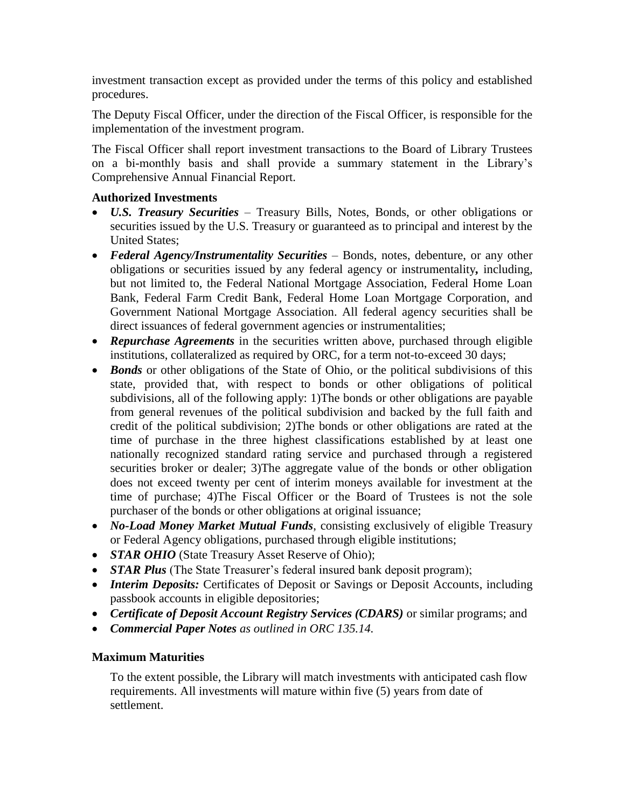investment transaction except as provided under the terms of this policy and established procedures.

The Deputy Fiscal Officer, under the direction of the Fiscal Officer, is responsible for the implementation of the investment program.

The Fiscal Officer shall report investment transactions to the Board of Library Trustees on a bi-monthly basis and shall provide a summary statement in the Library's Comprehensive Annual Financial Report.

### **Authorized Investments**

- *U.S. Treasury Securities*  Treasury Bills, Notes, Bonds, or other obligations or securities issued by the U.S. Treasury or guaranteed as to principal and interest by the United States;
- *Federal Agency/Instrumentality Securities* Bonds, notes, debenture, or any other obligations or securities issued by any federal agency or instrumentality*,* including, but not limited to, the Federal National Mortgage Association, Federal Home Loan Bank, Federal Farm Credit Bank, Federal Home Loan Mortgage Corporation, and Government National Mortgage Association. All federal agency securities shall be direct issuances of federal government agencies or instrumentalities;
- *Repurchase Agreements* in the securities written above, purchased through eligible institutions, collateralized as required by ORC, for a term not-to-exceed 30 days;
- *Bonds* or other obligations of the State of Ohio, or the political subdivisions of this state, provided that, with respect to bonds or other obligations of political subdivisions, all of the following apply: 1)The bonds or other obligations are payable from general revenues of the political subdivision and backed by the full faith and credit of the political subdivision; 2)The bonds or other obligations are rated at the time of purchase in the three highest classifications established by at least one nationally recognized standard rating service and purchased through a registered securities broker or dealer; 3)The aggregate value of the bonds or other obligation does not exceed twenty per cent of interim moneys available for investment at the time of purchase; 4)The Fiscal Officer or the Board of Trustees is not the sole purchaser of the bonds or other obligations at original issuance;
- *No-Load Money Market Mutual Funds*, consisting exclusively of eligible Treasury or Federal Agency obligations, purchased through eligible institutions;
- *STAR OHIO* (State Treasury Asset Reserve of Ohio);
- *STAR Plus* (The State Treasurer's federal insured bank deposit program);
- *Interim Deposits:* Certificates of Deposit or Savings or Deposit Accounts, including passbook accounts in eligible depositories;
- *Certificate of Deposit Account Registry Services (CDARS)* or similar programs; and
- *Commercial Paper Notes as outlined in ORC 135.14.*

#### **Maximum Maturities**

To the extent possible, the Library will match investments with anticipated cash flow requirements. All investments will mature within five (5) years from date of settlement.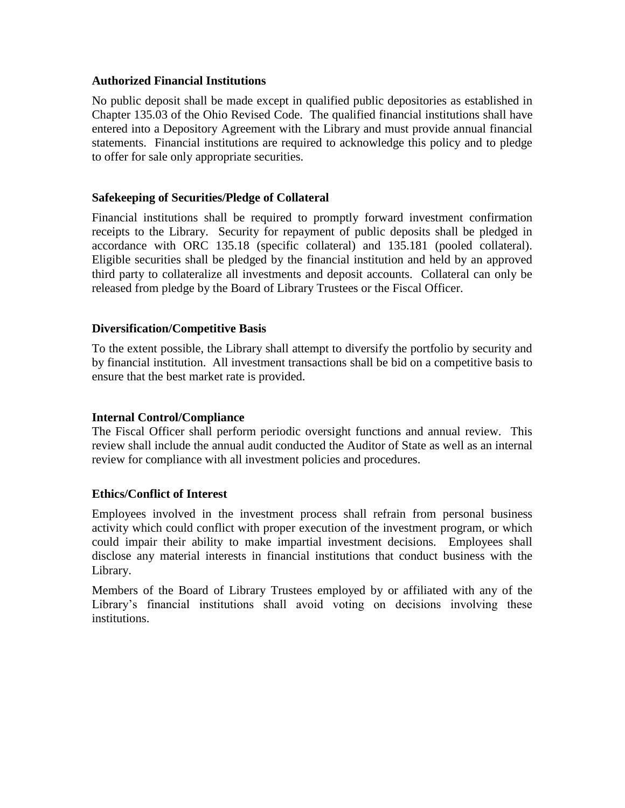#### **Authorized Financial Institutions**

No public deposit shall be made except in qualified public depositories as established in Chapter 135.03 of the Ohio Revised Code. The qualified financial institutions shall have entered into a Depository Agreement with the Library and must provide annual financial statements. Financial institutions are required to acknowledge this policy and to pledge to offer for sale only appropriate securities.

#### **Safekeeping of Securities/Pledge of Collateral**

Financial institutions shall be required to promptly forward investment confirmation receipts to the Library. Security for repayment of public deposits shall be pledged in accordance with ORC 135.18 (specific collateral) and 135.181 (pooled collateral). Eligible securities shall be pledged by the financial institution and held by an approved third party to collateralize all investments and deposit accounts. Collateral can only be released from pledge by the Board of Library Trustees or the Fiscal Officer.

#### **Diversification/Competitive Basis**

To the extent possible, the Library shall attempt to diversify the portfolio by security and by financial institution. All investment transactions shall be bid on a competitive basis to ensure that the best market rate is provided.

### **Internal Control/Compliance**

The Fiscal Officer shall perform periodic oversight functions and annual review. This review shall include the annual audit conducted the Auditor of State as well as an internal review for compliance with all investment policies and procedures.

#### **Ethics/Conflict of Interest**

Employees involved in the investment process shall refrain from personal business activity which could conflict with proper execution of the investment program, or which could impair their ability to make impartial investment decisions. Employees shall disclose any material interests in financial institutions that conduct business with the Library.

Members of the Board of Library Trustees employed by or affiliated with any of the Library's financial institutions shall avoid voting on decisions involving these institutions.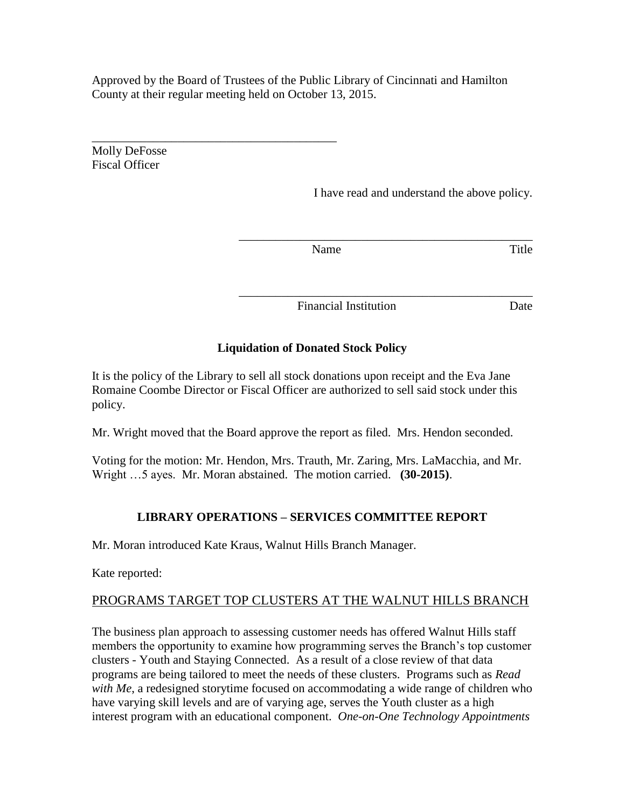Approved by the Board of Trustees of the Public Library of Cincinnati and Hamilton County at their regular meeting held on October 13, 2015.

Molly DeFosse Fiscal Officer

\_\_\_\_\_\_\_\_\_\_\_\_\_\_\_\_\_\_\_\_\_\_\_\_\_\_\_\_\_\_\_\_\_\_\_\_\_\_\_\_

I have read and understand the above policy.

\_\_\_\_\_\_\_\_\_\_\_\_\_\_\_\_\_\_\_\_\_\_\_\_\_\_\_\_\_\_\_\_\_\_\_\_\_\_\_\_\_\_\_\_\_\_\_\_

\_\_\_\_\_\_\_\_\_\_\_\_\_\_\_\_\_\_\_\_\_\_\_\_\_\_\_\_\_\_\_\_\_\_\_\_\_\_\_\_\_\_\_\_\_\_\_\_

Name Title

Financial Institution Date

### **Liquidation of Donated Stock Policy**

It is the policy of the Library to sell all stock donations upon receipt and the Eva Jane Romaine Coombe Director or Fiscal Officer are authorized to sell said stock under this policy.

Mr. Wright moved that the Board approve the report as filed. Mrs. Hendon seconded.

Voting for the motion: Mr. Hendon, Mrs. Trauth, Mr. Zaring, Mrs. LaMacchia, and Mr. Wright …5 ayes. Mr. Moran abstained. The motion carried. **(30-2015)**.

### **LIBRARY OPERATIONS – SERVICES COMMITTEE REPORT**

Mr. Moran introduced Kate Kraus, Walnut Hills Branch Manager.

Kate reported:

### PROGRAMS TARGET TOP CLUSTERS AT THE WALNUT HILLS BRANCH

The business plan approach to assessing customer needs has offered Walnut Hills staff members the opportunity to examine how programming serves the Branch's top customer clusters - Youth and Staying Connected. As a result of a close review of that data programs are being tailored to meet the needs of these clusters. Programs such as *Read with Me*, a redesigned storytime focused on accommodating a wide range of children who have varying skill levels and are of varying age, serves the Youth cluster as a high interest program with an educational component. *One-on-One Technology Appointments*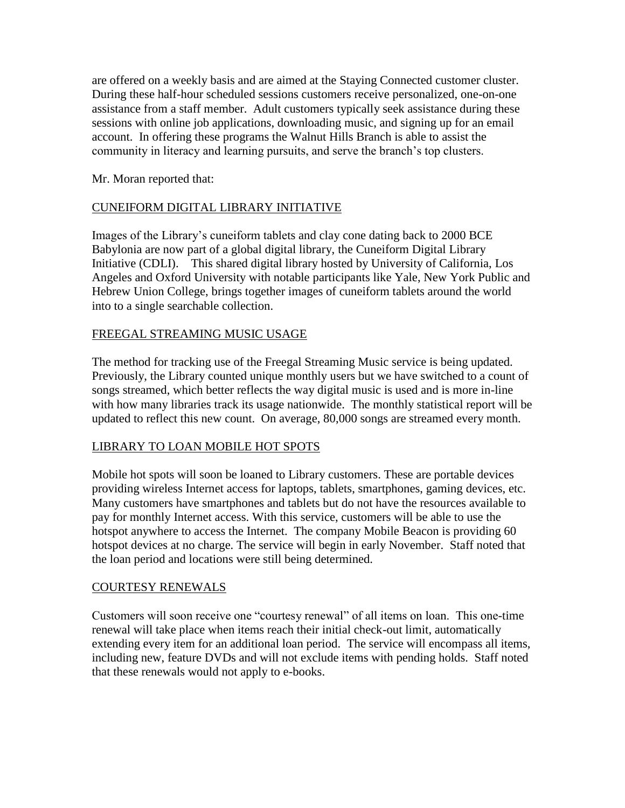are offered on a weekly basis and are aimed at the Staying Connected customer cluster. During these half-hour scheduled sessions customers receive personalized, one-on-one assistance from a staff member. Adult customers typically seek assistance during these sessions with online job applications, downloading music, and signing up for an email account. In offering these programs the Walnut Hills Branch is able to assist the community in literacy and learning pursuits, and serve the branch's top clusters.

Mr. Moran reported that:

### CUNEIFORM DIGITAL LIBRARY INITIATIVE

Images of the Library's cuneiform tablets and clay cone dating back to 2000 BCE Babylonia are now part of a global digital library, the Cuneiform Digital Library Initiative (CDLI). This shared digital library hosted by University of California, Los Angeles and Oxford University with notable participants like Yale, New York Public and Hebrew Union College, brings together images of cuneiform tablets around the world into to a single searchable collection.

#### FREEGAL STREAMING MUSIC USAGE

The method for tracking use of the Freegal Streaming Music service is being updated. Previously, the Library counted unique monthly users but we have switched to a count of songs streamed, which better reflects the way digital music is used and is more in-line with how many libraries track its usage nationwide. The monthly statistical report will be updated to reflect this new count. On average, 80,000 songs are streamed every month.

#### LIBRARY TO LOAN MOBILE HOT SPOTS

Mobile hot spots will soon be loaned to Library customers. These are portable devices providing wireless Internet access for laptops, tablets, smartphones, gaming devices, etc. Many customers have smartphones and tablets but do not have the resources available to pay for monthly Internet access. With this service, customers will be able to use the hotspot anywhere to access the Internet. The company Mobile Beacon is providing 60 hotspot devices at no charge. The service will begin in early November. Staff noted that the loan period and locations were still being determined.

#### COURTESY RENEWALS

Customers will soon receive one "courtesy renewal" of all items on loan. This one-time renewal will take place when items reach their initial check-out limit, automatically extending every item for an additional loan period. The service will encompass all items, including new, feature DVDs and will not exclude items with pending holds. Staff noted that these renewals would not apply to e-books.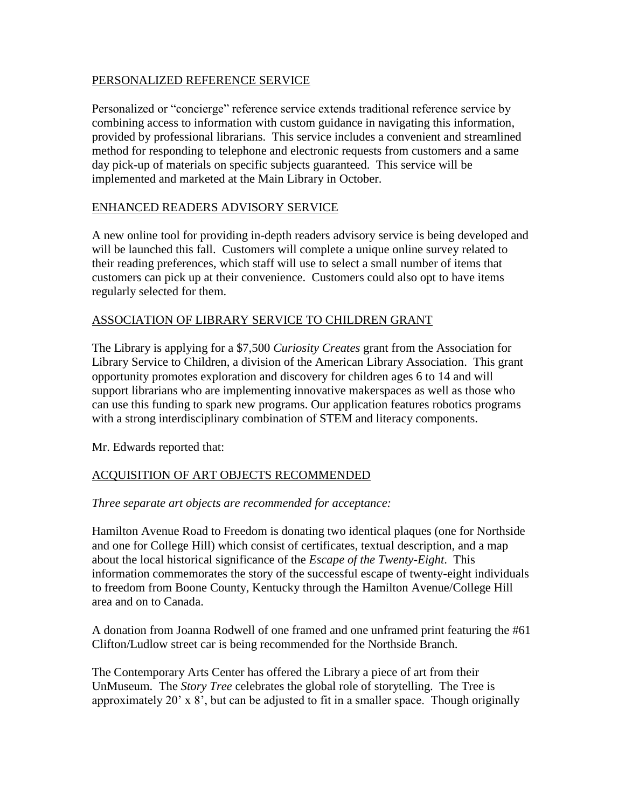#### PERSONALIZED REFERENCE SERVICE

Personalized or "concierge" reference service extends traditional reference service by combining access to information with custom guidance in navigating this information, provided by professional librarians. This service includes a convenient and streamlined method for responding to telephone and electronic requests from customers and a same day pick-up of materials on specific subjects guaranteed. This service will be implemented and marketed at the Main Library in October.

#### ENHANCED READERS ADVISORY SERVICE

A new online tool for providing in-depth readers advisory service is being developed and will be launched this fall. Customers will complete a unique online survey related to their reading preferences, which staff will use to select a small number of items that customers can pick up at their convenience. Customers could also opt to have items regularly selected for them.

### ASSOCIATION OF LIBRARY SERVICE TO CHILDREN GRANT

The Library is applying for a \$7,500 *Curiosity Creates* grant from the Association for Library Service to Children, a division of the American Library Association. This grant opportunity promotes exploration and discovery for children ages 6 to 14 and will support librarians who are implementing innovative makerspaces as well as those who can use this funding to spark new programs. Our application features robotics programs with a strong interdisciplinary combination of STEM and literacy components.

Mr. Edwards reported that:

### ACQUISITION OF ART OBJECTS RECOMMENDED

*Three separate art objects are recommended for acceptance:*

Hamilton Avenue Road to Freedom is donating two identical plaques (one for Northside and one for College Hill) which consist of certificates, textual description, and a map about the local historical significance of the *Escape of the Twenty-Eight*. This information commemorates the story of the successful escape of twenty-eight individuals to freedom from Boone County, Kentucky through the Hamilton Avenue/College Hill area and on to Canada.

A donation from Joanna Rodwell of one framed and one unframed print featuring the #61 Clifton/Ludlow street car is being recommended for the Northside Branch.

The Contemporary Arts Center has offered the Library a piece of art from their UnMuseum. The *Story Tree* celebrates the global role of storytelling. The Tree is approximately 20' x 8', but can be adjusted to fit in a smaller space. Though originally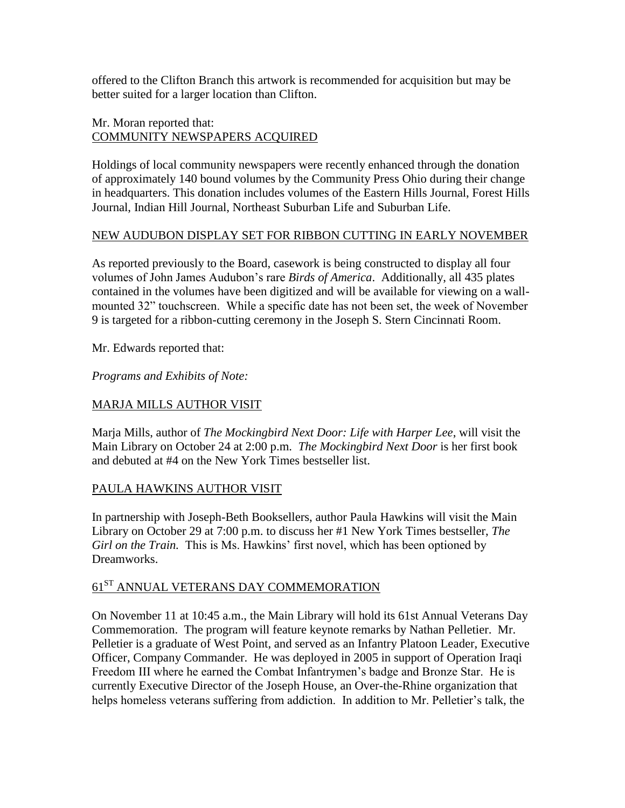offered to the Clifton Branch this artwork is recommended for acquisition but may be better suited for a larger location than Clifton.

#### Mr. Moran reported that: COMMUNITY NEWSPAPERS ACQUIRED

Holdings of local community newspapers were recently enhanced through the donation of approximately 140 bound volumes by the Community Press Ohio during their change in headquarters. This donation includes volumes of the Eastern Hills Journal, Forest Hills Journal, Indian Hill Journal, Northeast Suburban Life and Suburban Life.

#### NEW AUDUBON DISPLAY SET FOR RIBBON CUTTING IN EARLY NOVEMBER

As reported previously to the Board, casework is being constructed to display all four volumes of John James Audubon's rare *Birds of America*. Additionally, all 435 plates contained in the volumes have been digitized and will be available for viewing on a wallmounted 32" touchscreen. While a specific date has not been set, the week of November 9 is targeted for a ribbon-cutting ceremony in the Joseph S. Stern Cincinnati Room.

Mr. Edwards reported that:

*Programs and Exhibits of Note:*

### MARJA MILLS AUTHOR VISIT

Marja Mills, author of *The Mockingbird Next Door: Life with Harper Lee*, will visit the Main Library on October 24 at 2:00 p.m. *The Mockingbird Next Door* is her first book and debuted at #4 on the New York Times bestseller list.

### PAULA HAWKINS AUTHOR VISIT

In partnership with Joseph-Beth Booksellers, author Paula Hawkins will visit the Main Library on October 29 at 7:00 p.m. to discuss her #1 New York Times bestseller, *The Girl on the Train.* This is Ms. Hawkins' first novel, which has been optioned by Dreamworks.

# $61^\mathrm{ST}$  ANNUAL VETERANS DAY COMMEMORATION

On November 11 at 10:45 a.m., the Main Library will hold its 61st Annual Veterans Day Commemoration. The program will feature keynote remarks by Nathan Pelletier. Mr. Pelletier is a graduate of West Point, and served as an Infantry Platoon Leader, Executive Officer, Company Commander. He was deployed in 2005 in support of Operation Iraqi Freedom III where he earned the Combat Infantrymen's badge and Bronze Star. He is currently Executive Director of the Joseph House, an Over-the-Rhine organization that helps homeless veterans suffering from addiction. In addition to Mr. Pelletier's talk, the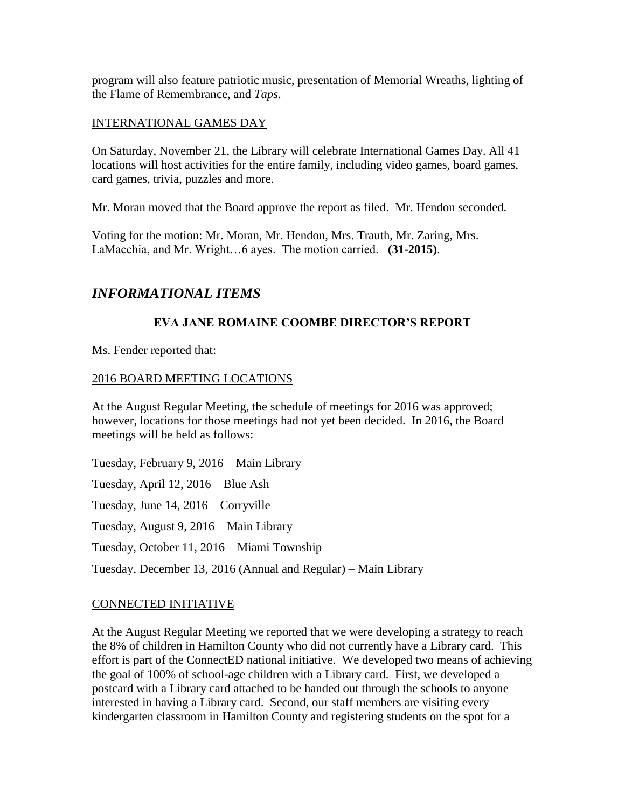program will also feature patriotic music, presentation of Memorial Wreaths, lighting of the Flame of Remembrance, and *Taps*.

#### INTERNATIONAL GAMES DAY

On Saturday, November 21, the Library will celebrate International Games Day. All 41 locations will host activities for the entire family, including video games, board games, card games, trivia, puzzles and more.

Mr. Moran moved that the Board approve the report as filed. Mr. Hendon seconded.

Voting for the motion: Mr. Moran, Mr. Hendon, Mrs. Trauth, Mr. Zaring, Mrs. LaMacchia, and Mr. Wright…6 ayes. The motion carried. **(31-2015)**.

## *INFORMATIONAL ITEMS*

### **EVA JANE ROMAINE COOMBE DIRECTOR'S REPORT**

Ms. Fender reported that:

#### 2016 BOARD MEETING LOCATIONS

At the August Regular Meeting, the schedule of meetings for 2016 was approved; however, locations for those meetings had not yet been decided. In 2016, the Board meetings will be held as follows:

Tuesday, February 9, 2016 – Main Library Tuesday, April 12, 2016 – Blue Ash Tuesday, June 14, 2016 – Corryville Tuesday, August 9, 2016 – Main Library Tuesday, October 11, 2016 – Miami Township Tuesday, December 13, 2016 (Annual and Regular) – Main Library

### CONNECTED INITIATIVE

At the August Regular Meeting we reported that we were developing a strategy to reach the 8% of children in Hamilton County who did not currently have a Library card. This effort is part of the ConnectED national initiative. We developed two means of achieving the goal of 100% of school-age children with a Library card. First, we developed a postcard with a Library card attached to be handed out through the schools to anyone interested in having a Library card. Second, our staff members are visiting every kindergarten classroom in Hamilton County and registering students on the spot for a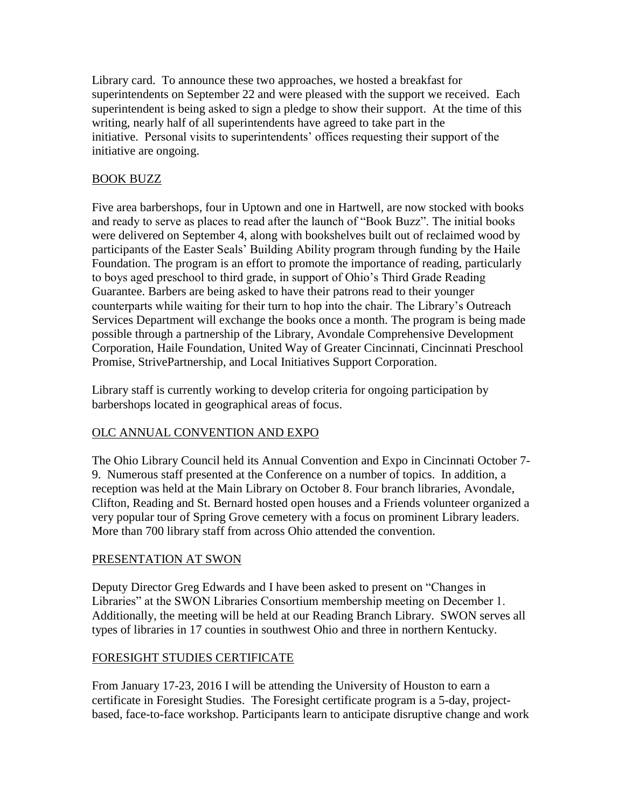Library card. To announce these two approaches, we hosted a breakfast for superintendents on September 22 and were pleased with the support we received. Each superintendent is being asked to sign a pledge to show their support. At the time of this writing, nearly half of all superintendents have agreed to take part in the initiative. Personal visits to superintendents' offices requesting their support of the initiative are ongoing.

### BOOK BUZZ

Five area barbershops, four in Uptown and one in Hartwell, are now stocked with books and ready to serve as places to read after the launch of "Book Buzz". The initial books were delivered on September 4, along with bookshelves built out of reclaimed wood by participants of the Easter Seals' Building Ability program through funding by the Haile Foundation. The program is an effort to promote the importance of reading, particularly to boys aged preschool to third grade, in support of Ohio's Third Grade Reading Guarantee. Barbers are being asked to have their patrons read to their younger counterparts while waiting for their turn to hop into the chair. The Library's Outreach Services Department will exchange the books once a month. The program is being made possible through a partnership of the Library, Avondale Comprehensive Development Corporation, Haile Foundation, United Way of Greater Cincinnati, Cincinnati Preschool Promise, StrivePartnership, and Local Initiatives Support Corporation.

Library staff is currently working to develop criteria for ongoing participation by barbershops located in geographical areas of focus.

### OLC ANNUAL CONVENTION AND EXPO

The Ohio Library Council held its Annual Convention and Expo in Cincinnati October 7- 9. Numerous staff presented at the Conference on a number of topics. In addition, a reception was held at the Main Library on October 8. Four branch libraries, Avondale, Clifton, Reading and St. Bernard hosted open houses and a Friends volunteer organized a very popular tour of Spring Grove cemetery with a focus on prominent Library leaders. More than 700 library staff from across Ohio attended the convention.

### PRESENTATION AT SWON

Deputy Director Greg Edwards and I have been asked to present on "Changes in Libraries" at the SWON Libraries Consortium membership meeting on December 1. Additionally, the meeting will be held at our Reading Branch Library. SWON serves all types of libraries in 17 counties in southwest Ohio and three in northern Kentucky.

### FORESIGHT STUDIES CERTIFICATE

From January 17-23, 2016 I will be attending the University of Houston to earn a certificate in Foresight Studies. The Foresight certificate program is a 5-day, projectbased, face-to-face workshop. Participants learn to anticipate disruptive change and work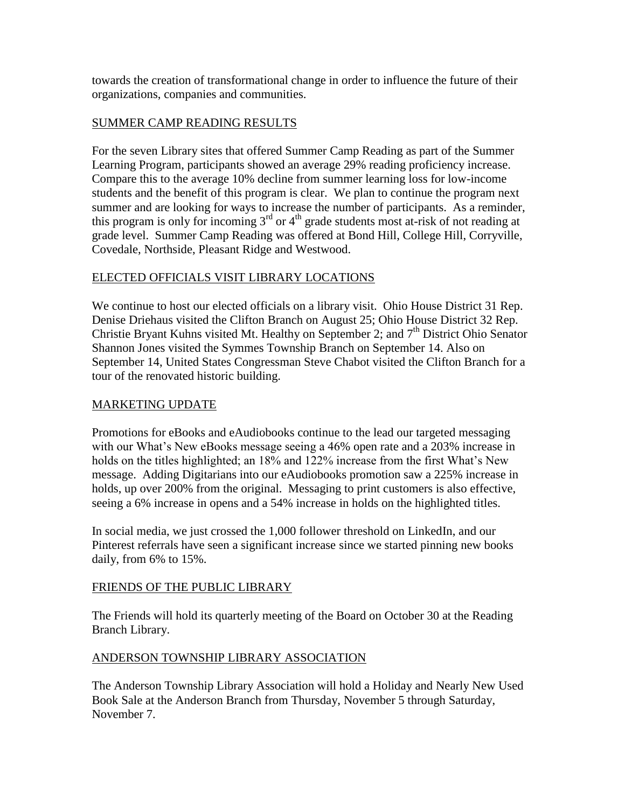towards the creation of transformational change in order to influence the future of their organizations, companies and communities.

### SUMMER CAMP READING RESULTS

For the seven Library sites that offered Summer Camp Reading as part of the Summer Learning Program, participants showed an average 29% reading proficiency increase. Compare this to the average 10% decline from summer learning loss for low-income students and the benefit of this program is clear. We plan to continue the program next summer and are looking for ways to increase the number of participants. As a reminder, this program is only for incoming  $3<sup>rd</sup>$  or  $4<sup>th</sup>$  grade students most at-risk of not reading at grade level. Summer Camp Reading was offered at Bond Hill, College Hill, Corryville, Covedale, Northside, Pleasant Ridge and Westwood.

### ELECTED OFFICIALS VISIT LIBRARY LOCATIONS

We continue to host our elected officials on a library visit. Ohio House District 31 Rep. Denise Driehaus visited the Clifton Branch on August 25; Ohio House District 32 Rep. Christie Bryant Kuhns visited Mt. Healthy on September 2; and  $7<sup>th</sup>$  District Ohio Senator Shannon Jones visited the Symmes Township Branch on September 14. Also on September 14, United States Congressman Steve Chabot visited the Clifton Branch for a tour of the renovated historic building.

### MARKETING UPDATE

Promotions for eBooks and eAudiobooks continue to the lead our targeted messaging with our What's New eBooks message seeing a 46% open rate and a 203% increase in holds on the titles highlighted; an 18% and 122% increase from the first What's New message. Adding Digitarians into our eAudiobooks promotion saw a 225% increase in holds, up over 200% from the original. Messaging to print customers is also effective, seeing a 6% increase in opens and a 54% increase in holds on the highlighted titles.

In social media, we just crossed the 1,000 follower threshold on LinkedIn, and our Pinterest referrals have seen a significant increase since we started pinning new books daily, from 6% to 15%.

### FRIENDS OF THE PUBLIC LIBRARY

The Friends will hold its quarterly meeting of the Board on October 30 at the Reading Branch Library.

### ANDERSON TOWNSHIP LIBRARY ASSOCIATION

The Anderson Township Library Association will hold a Holiday and Nearly New Used Book Sale at the Anderson Branch from Thursday, November 5 through Saturday, November 7.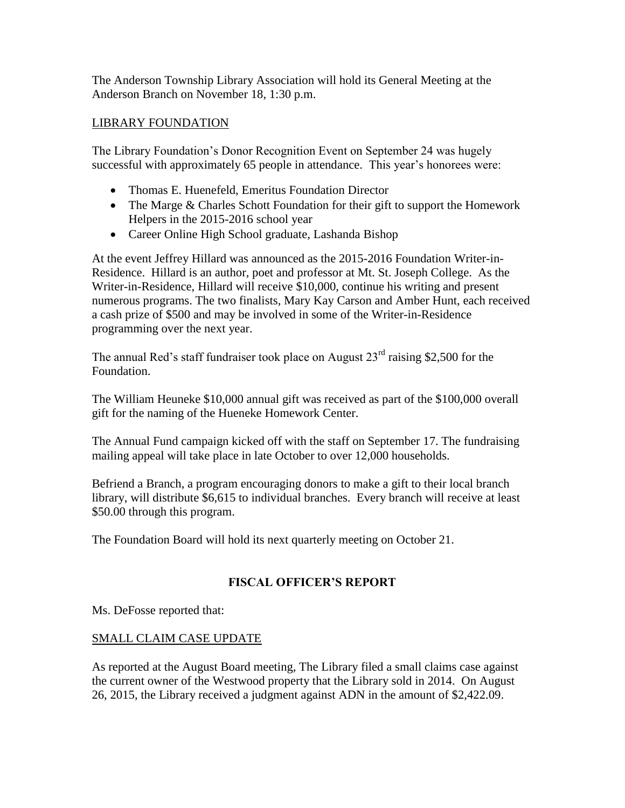The Anderson Township Library Association will hold its General Meeting at the Anderson Branch on November 18, 1:30 p.m.

#### LIBRARY FOUNDATION

The Library Foundation's Donor Recognition Event on September 24 was hugely successful with approximately 65 people in attendance. This year's honorees were:

- Thomas E. Huenefeld, Emeritus Foundation Director
- The Marge & Charles Schott Foundation for their gift to support the Homework Helpers in the 2015-2016 school year
- Career Online High School graduate, Lashanda Bishop

At the event Jeffrey Hillard was announced as the 2015-2016 Foundation Writer-in-Residence. Hillard is an author, poet and professor at Mt. St. Joseph College. As the Writer-in-Residence, Hillard will receive \$10,000, continue his writing and present numerous programs. The two finalists, Mary Kay Carson and Amber Hunt, each received a cash prize of \$500 and may be involved in some of the Writer-in-Residence programming over the next year.

The annual Red's staff fundraiser took place on August  $23<sup>rd</sup>$  raising \$2,500 for the Foundation.

The William Heuneke \$10,000 annual gift was received as part of the \$100,000 overall gift for the naming of the Hueneke Homework Center.

The Annual Fund campaign kicked off with the staff on September 17. The fundraising mailing appeal will take place in late October to over 12,000 households.

Befriend a Branch, a program encouraging donors to make a gift to their local branch library, will distribute \$6,615 to individual branches. Every branch will receive at least \$50.00 through this program.

The Foundation Board will hold its next quarterly meeting on October 21.

### **FISCAL OFFICER'S REPORT**

Ms. DeFosse reported that:

### SMALL CLAIM CASE UPDATE

As reported at the August Board meeting, The Library filed a small claims case against the current owner of the Westwood property that the Library sold in 2014. On August 26, 2015, the Library received a judgment against ADN in the amount of \$2,422.09.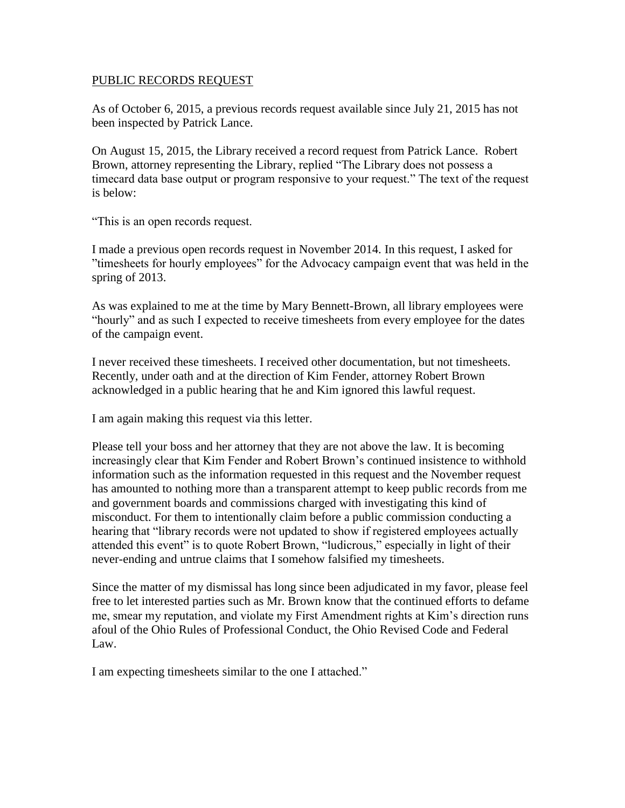#### PUBLIC RECORDS REQUEST

As of October 6, 2015, a previous records request available since July 21, 2015 has not been inspected by Patrick Lance.

On August 15, 2015, the Library received a record request from Patrick Lance. Robert Brown, attorney representing the Library, replied "The Library does not possess a timecard data base output or program responsive to your request." The text of the request is below:

"This is an open records request.

I made a previous open records request in November 2014. In this request, I asked for "timesheets for hourly employees" for the Advocacy campaign event that was held in the spring of 2013.

As was explained to me at the time by Mary Bennett-Brown, all library employees were "hourly" and as such I expected to receive timesheets from every employee for the dates of the campaign event.

I never received these timesheets. I received other documentation, but not timesheets. Recently, under oath and at the direction of Kim Fender, attorney Robert Brown acknowledged in a public hearing that he and Kim ignored this lawful request.

I am again making this request via this letter.

Please tell your boss and her attorney that they are not above the law. It is becoming increasingly clear that Kim Fender and Robert Brown's continued insistence to withhold information such as the information requested in this request and the November request has amounted to nothing more than a transparent attempt to keep public records from me and government boards and commissions charged with investigating this kind of misconduct. For them to intentionally claim before a public commission conducting a hearing that "library records were not updated to show if registered employees actually attended this event" is to quote Robert Brown, "ludicrous," especially in light of their never-ending and untrue claims that I somehow falsified my timesheets.

Since the matter of my dismissal has long since been adjudicated in my favor, please feel free to let interested parties such as Mr. Brown know that the continued efforts to defame me, smear my reputation, and violate my First Amendment rights at Kim's direction runs afoul of the Ohio Rules of Professional Conduct, the Ohio Revised Code and Federal Law.

I am expecting timesheets similar to the one I attached."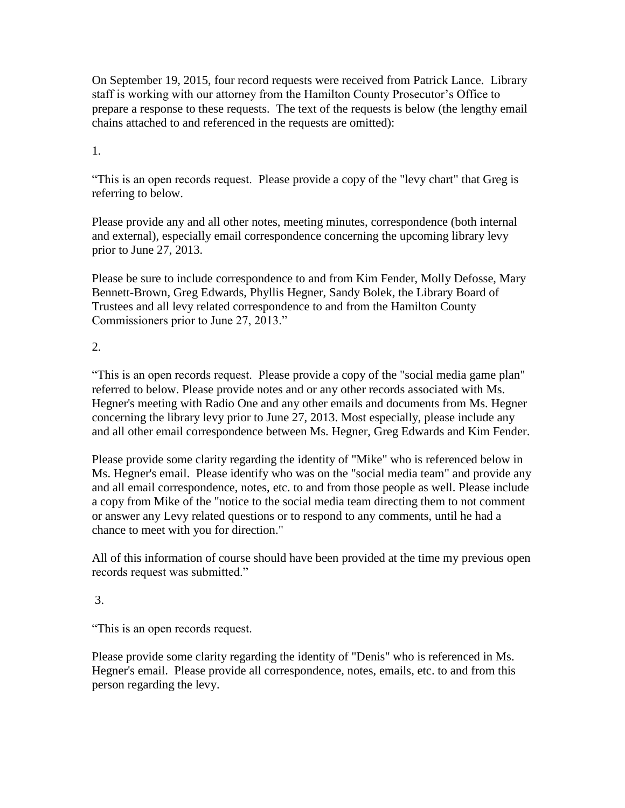On September 19, 2015, four record requests were received from Patrick Lance. Library staff is working with our attorney from the Hamilton County Prosecutor's Office to prepare a response to these requests. The text of the requests is below (the lengthy email chains attached to and referenced in the requests are omitted):

### 1.

"This is an open records request. Please provide a copy of the "levy chart" that Greg is referring to below.

Please provide any and all other notes, meeting minutes, correspondence (both internal and external), especially email correspondence concerning the upcoming library levy prior to June 27, 2013.

Please be sure to include correspondence to and from Kim Fender, Molly Defosse, Mary Bennett-Brown, Greg Edwards, Phyllis Hegner, Sandy Bolek, the Library Board of Trustees and all levy related correspondence to and from the Hamilton County Commissioners prior to June 27, 2013."

### 2.

"This is an open records request. Please provide a copy of the "social media game plan" referred to below. Please provide notes and or any other records associated with Ms. Hegner's meeting with Radio One and any other emails and documents from Ms. Hegner concerning the library levy prior to June 27, 2013. Most especially, please include any and all other email correspondence between Ms. Hegner, Greg Edwards and Kim Fender.

Please provide some clarity regarding the identity of "Mike" who is referenced below in Ms. Hegner's email. Please identify who was on the "social media team" and provide any and all email correspondence, notes, etc. to and from those people as well. Please include a copy from Mike of the "notice to the social media team directing them to not comment or answer any Levy related questions or to respond to any comments, until he had a chance to meet with you for direction."

All of this information of course should have been provided at the time my previous open records request was submitted."

### 3.

"This is an open records request.

Please provide some clarity regarding the identity of "Denis" who is referenced in Ms. Hegner's email. Please provide all correspondence, notes, emails, etc. to and from this person regarding the levy.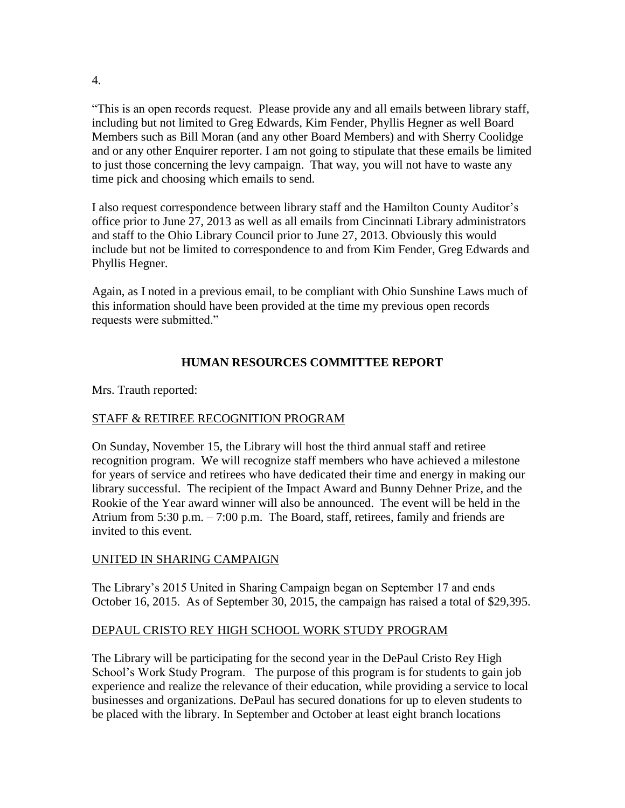"This is an open records request. Please provide any and all emails between library staff, including but not limited to Greg Edwards, Kim Fender, Phyllis Hegner as well Board Members such as Bill Moran (and any other Board Members) and with Sherry Coolidge and or any other Enquirer reporter. I am not going to stipulate that these emails be limited to just those concerning the levy campaign. That way, you will not have to waste any time pick and choosing which emails to send.

I also request correspondence between library staff and the Hamilton County Auditor's office prior to June 27, 2013 as well as all emails from Cincinnati Library administrators and staff to the Ohio Library Council prior to June 27, 2013. Obviously this would include but not be limited to correspondence to and from Kim Fender, Greg Edwards and Phyllis Hegner.

Again, as I noted in a previous email, to be compliant with Ohio Sunshine Laws much of this information should have been provided at the time my previous open records requests were submitted."

### **HUMAN RESOURCES COMMITTEE REPORT**

Mrs. Trauth reported:

### STAFF & RETIREE RECOGNITION PROGRAM

On Sunday, November 15, the Library will host the third annual staff and retiree recognition program. We will recognize staff members who have achieved a milestone for years of service and retirees who have dedicated their time and energy in making our library successful. The recipient of the Impact Award and Bunny Dehner Prize, and the Rookie of the Year award winner will also be announced. The event will be held in the Atrium from 5:30 p.m. – 7:00 p.m. The Board, staff, retirees, family and friends are invited to this event.

### UNITED IN SHARING CAMPAIGN

The Library's 2015 United in Sharing Campaign began on September 17 and ends October 16, 2015. As of September 30, 2015, the campaign has raised a total of \$29,395.

### DEPAUL CRISTO REY HIGH SCHOOL WORK STUDY PROGRAM

The Library will be participating for the second year in the DePaul Cristo Rey High School's Work Study Program. The purpose of this program is for students to gain job experience and realize the relevance of their education, while providing a service to local businesses and organizations. DePaul has secured donations for up to eleven students to be placed with the library. In September and October at least eight branch locations

4.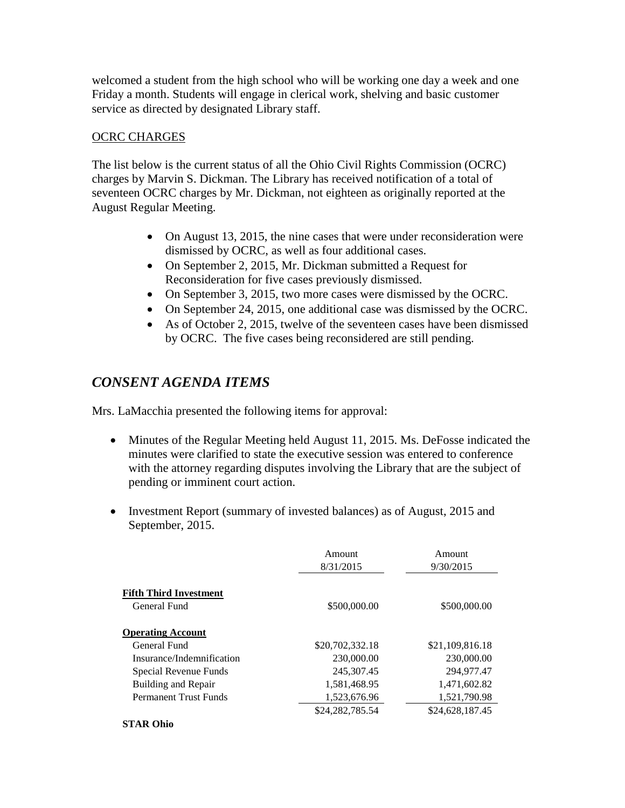welcomed a student from the high school who will be working one day a week and one Friday a month. Students will engage in clerical work, shelving and basic customer service as directed by designated Library staff.

### OCRC CHARGES

The list below is the current status of all the Ohio Civil Rights Commission (OCRC) charges by Marvin S. Dickman. The Library has received notification of a total of seventeen OCRC charges by Mr. Dickman, not eighteen as originally reported at the August Regular Meeting.

- On August 13, 2015, the nine cases that were under reconsideration were dismissed by OCRC, as well as four additional cases.
- On September 2, 2015, Mr. Dickman submitted a Request for Reconsideration for five cases previously dismissed.
- On September 3, 2015, two more cases were dismissed by the OCRC.
- On September 24, 2015, one additional case was dismissed by the OCRC.
- As of October 2, 2015, twelve of the seventeen cases have been dismissed by OCRC. The five cases being reconsidered are still pending.

# *CONSENT AGENDA ITEMS*

Mrs. LaMacchia presented the following items for approval:

- Minutes of the Regular Meeting held August 11, 2015. Ms. DeFosse indicated the minutes were clarified to state the executive session was entered to conference with the attorney regarding disputes involving the Library that are the subject of pending or imminent court action.
- Investment Report (summary of invested balances) as of August, 2015 and September, 2015.

|                                               | Amount<br>8/31/2015 | Amount<br>9/30/2015 |
|-----------------------------------------------|---------------------|---------------------|
| <b>Fifth Third Investment</b><br>General Fund | \$500,000.00        | \$500,000.00        |
| <b>Operating Account</b>                      |                     |                     |
| General Fund                                  | \$20,702,332.18     | \$21,109,816.18     |
| Insurance/Indemnification                     | 230,000.00          | 230,000.00          |
| Special Revenue Funds                         | 245, 307. 45        | 294,977.47          |
| Building and Repair                           | 1,581,468.95        | 1,471,602.82        |
| <b>Permanent Trust Funds</b>                  | 1,523,676.96        | 1,521,790.98        |
|                                               | \$24,282,785.54     | \$24,628,187.45     |
| <b>STAR Ohio</b>                              |                     |                     |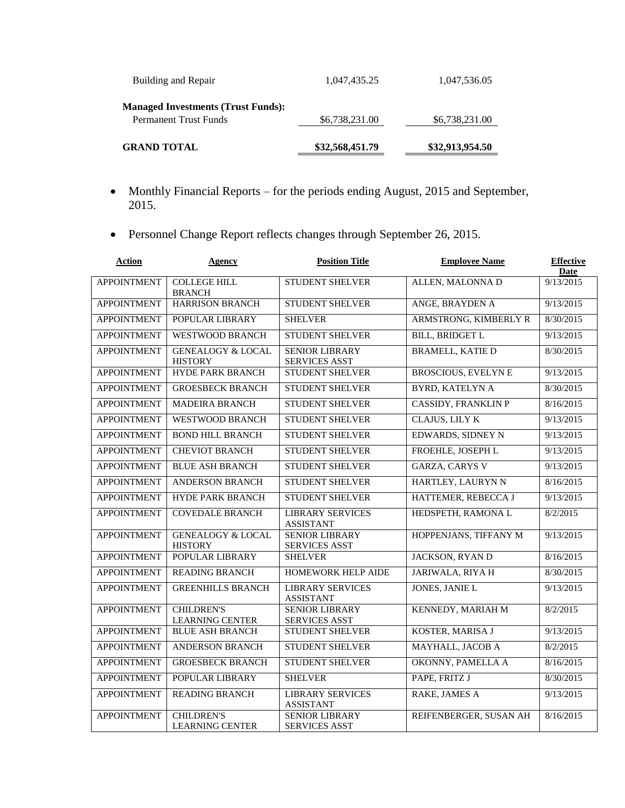| <b>GRAND TOTAL</b>                                                        | \$32,568,451.79 | \$32,913,954.50 |
|---------------------------------------------------------------------------|-----------------|-----------------|
| <b>Managed Investments (Trust Funds):</b><br><b>Permanent Trust Funds</b> | \$6,738,231.00  | \$6,738,231.00  |
| Building and Repair                                                       | 1,047,435.25    | 1,047,536.05    |

- Monthly Financial Reports for the periods ending August, 2015 and September, 2015.
- Personnel Change Report reflects changes through September 26, 2015.

| <b>Action</b>      | Agency                                         | <b>Position Title</b>                         | <b>Employee Name</b>       | <b>Effective</b><br>Date |
|--------------------|------------------------------------------------|-----------------------------------------------|----------------------------|--------------------------|
| <b>APPOINTMENT</b> | <b>COLLEGE HILL</b><br><b>BRANCH</b>           | <b>STUDENT SHELVER</b>                        | ALLEN, MALONNA D           | 9/13/2015                |
| <b>APPOINTMENT</b> | <b>HARRISON BRANCH</b>                         | <b>STUDENT SHELVER</b>                        | ANGE, BRAYDEN A            | 9/13/2015                |
| <b>APPOINTMENT</b> | POPULAR LIBRARY                                | <b>SHELVER</b>                                | ARMSTRONG, KIMBERLY R      | 8/30/2015                |
| <b>APPOINTMENT</b> | <b>WESTWOOD BRANCH</b>                         | <b>STUDENT SHELVER</b>                        | <b>BILL, BRIDGET L</b>     | 9/13/2015                |
| <b>APPOINTMENT</b> | <b>GENEALOGY &amp; LOCAL</b><br><b>HISTORY</b> | <b>SENIOR LIBRARY</b><br><b>SERVICES ASST</b> | <b>BRAMELL, KATIE D</b>    | 8/30/2015                |
| <b>APPOINTMENT</b> | <b>HYDE PARK BRANCH</b>                        | <b>STUDENT SHELVER</b>                        | <b>BROSCIOUS, EVELYNE</b>  | 9/13/2015                |
| <b>APPOINTMENT</b> | <b>GROESBECK BRANCH</b>                        | <b>STUDENT SHELVER</b>                        | <b>BYRD, KATELYN A</b>     | 8/30/2015                |
| <b>APPOINTMENT</b> | <b>MADEIRA BRANCH</b>                          | <b>STUDENT SHELVER</b>                        | <b>CASSIDY, FRANKLIN P</b> | 8/16/2015                |
| <b>APPOINTMENT</b> | <b>WESTWOOD BRANCH</b>                         | <b>STUDENT SHELVER</b>                        | <b>CLAJUS, LILY K</b>      | 9/13/2015                |
| <b>APPOINTMENT</b> | <b>BOND HILL BRANCH</b>                        | <b>STUDENT SHELVER</b>                        | <b>EDWARDS, SIDNEY N</b>   | 9/13/2015                |
| <b>APPOINTMENT</b> | <b>CHEVIOT BRANCH</b>                          | <b>STUDENT SHELVER</b>                        | FROEHLE, JOSEPH L          | 9/13/2015                |
| <b>APPOINTMENT</b> | <b>BLUE ASH BRANCH</b>                         | <b>STUDENT SHELVER</b>                        | <b>GARZA, CARYS V</b>      | 9/13/2015                |
| <b>APPOINTMENT</b> | <b>ANDERSON BRANCH</b>                         | <b>STUDENT SHELVER</b>                        | HARTLEY, LAURYN N          | 8/16/2015                |
| <b>APPOINTMENT</b> | <b>HYDE PARK BRANCH</b>                        | STUDENT SHELVER                               | HATTEMER, REBECCA J        | 9/13/2015                |
| <b>APPOINTMENT</b> | <b>COVEDALE BRANCH</b>                         | <b>LIBRARY SERVICES</b><br><b>ASSISTANT</b>   | HEDSPETH, RAMONA L         | 8/2/2015                 |
| <b>APPOINTMENT</b> | <b>GENEALOGY &amp; LOCAL</b><br><b>HISTORY</b> | <b>SENIOR LIBRARY</b><br><b>SERVICES ASST</b> | HOPPENJANS, TIFFANY M      | 9/13/2015                |
| <b>APPOINTMENT</b> | POPULAR LIBRARY                                | <b>SHELVER</b>                                | <b>JACKSON, RYAN D</b>     | 8/16/2015                |
| <b>APPOINTMENT</b> | <b>READING BRANCH</b>                          | HOMEWORK HELP AIDE                            | <b>JARIWALA, RIYA H</b>    | 8/30/2015                |
| <b>APPOINTMENT</b> | <b>GREENHILLS BRANCH</b>                       | <b>LIBRARY SERVICES</b><br><b>ASSISTANT</b>   | <b>JONES, JANIE L</b>      | 9/13/2015                |
| <b>APPOINTMENT</b> | <b>CHILDREN'S</b><br><b>LEARNING CENTER</b>    | <b>SENIOR LIBRARY</b><br><b>SERVICES ASST</b> | KENNEDY, MARIAH M          | 8/2/2015                 |
| <b>APPOINTMENT</b> | <b>BLUE ASH BRANCH</b>                         | <b>STUDENT SHELVER</b>                        | KOSTER, MARISA J           | 9/13/2015                |
| <b>APPOINTMENT</b> | <b>ANDERSON BRANCH</b>                         | <b>STUDENT SHELVER</b>                        | MAYHALL, JACOB A           | 8/2/2015                 |
| <b>APPOINTMENT</b> | <b>GROESBECK BRANCH</b>                        | <b>STUDENT SHELVER</b>                        | OKONNY, PAMELLA A          | 8/16/2015                |
| <b>APPOINTMENT</b> | POPULAR LIBRARY                                | <b>SHELVER</b>                                | PAPE, FRITZ J              | 8/30/2015                |
| <b>APPOINTMENT</b> | <b>READING BRANCH</b>                          | <b>LIBRARY SERVICES</b><br><b>ASSISTANT</b>   | RAKE, JAMES A              | 9/13/2015                |
| <b>APPOINTMENT</b> | <b>CHILDREN'S</b><br><b>LEARNING CENTER</b>    | <b>SENIOR LIBRARY</b><br><b>SERVICES ASST</b> | REIFENBERGER, SUSAN AH     | 8/16/2015                |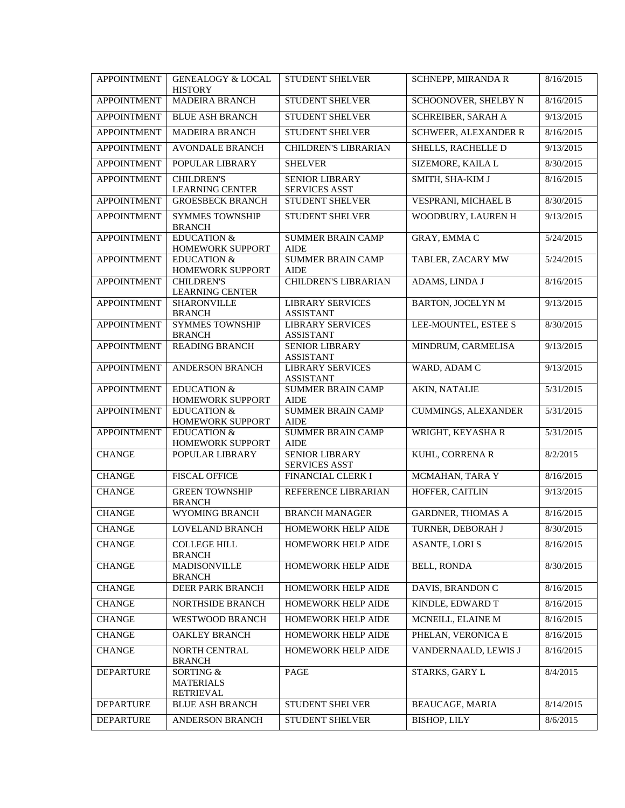| <b>APPOINTMENT</b> | <b>GENEALOGY &amp; LOCAL</b><br><b>HISTORY</b>    | <b>STUDENT SHELVER</b>                        | SCHNEPP, MIRANDA R          | 8/16/2015 |
|--------------------|---------------------------------------------------|-----------------------------------------------|-----------------------------|-----------|
| <b>APPOINTMENT</b> | <b>MADEIRA BRANCH</b>                             | <b>STUDENT SHELVER</b>                        | SCHOONOVER, SHELBY N        | 8/16/2015 |
| <b>APPOINTMENT</b> | BLUE ASH BRANCH                                   | STUDENT SHELVER                               | <b>SCHREIBER, SARAH A</b>   | 9/13/2015 |
| <b>APPOINTMENT</b> | <b>MADEIRA BRANCH</b>                             | <b>STUDENT SHELVER</b>                        | <b>SCHWEER, ALEXANDER R</b> | 8/16/2015 |
| <b>APPOINTMENT</b> | <b>AVONDALE BRANCH</b>                            | <b>CHILDREN'S LIBRARIAN</b>                   | SHELLS, RACHELLE D          | 9/13/2015 |
| <b>APPOINTMENT</b> | POPULAR LIBRARY                                   | <b>SHELVER</b>                                | SIZEMORE, KAILA L           | 8/30/2015 |
| <b>APPOINTMENT</b> | <b>CHILDREN'S</b>                                 | <b>SENIOR LIBRARY</b>                         | SMITH, SHA-KIM J            | 8/16/2015 |
| <b>APPOINTMENT</b> | <b>LEARNING CENTER</b><br><b>GROESBECK BRANCH</b> | <b>SERVICES ASST</b><br>STUDENT SHELVER       | VESPRANI, MICHAEL B         | 8/30/2015 |
|                    |                                                   |                                               |                             |           |
| <b>APPOINTMENT</b> | <b>SYMMES TOWNSHIP</b><br><b>BRANCH</b>           | STUDENT SHELVER                               | WOODBURY, LAUREN H          | 9/13/2015 |
| <b>APPOINTMENT</b> | <b>EDUCATION &amp;</b><br>HOMEWORK SUPPORT        | <b>SUMMER BRAIN CAMP</b><br><b>AIDE</b>       | <b>GRAY, EMMAC</b>          | 5/24/2015 |
| <b>APPOINTMENT</b> | <b>EDUCATION &amp;</b>                            | <b>SUMMER BRAIN CAMP</b>                      | TABLER, ZACARY MW           | 5/24/2015 |
|                    | HOMEWORK SUPPORT                                  | <b>AIDE</b>                                   |                             |           |
| <b>APPOINTMENT</b> | <b>CHILDREN'S</b><br><b>LEARNING CENTER</b>       | <b>CHILDREN'S LIBRARIAN</b>                   | ADAMS, LINDA J              | 8/16/2015 |
| <b>APPOINTMENT</b> | <b>SHARONVILLE</b><br><b>BRANCH</b>               | <b>LIBRARY SERVICES</b><br><b>ASSISTANT</b>   | <b>BARTON, JOCELYN M</b>    | 9/13/2015 |
| <b>APPOINTMENT</b> | <b>SYMMES TOWNSHIP</b><br><b>BRANCH</b>           | <b>LIBRARY SERVICES</b><br><b>ASSISTANT</b>   | LEE-MOUNTEL, ESTEE S        | 8/30/2015 |
| <b>APPOINTMENT</b> | <b>READING BRANCH</b>                             | <b>SENIOR LIBRARY</b><br><b>ASSISTANT</b>     | MINDRUM, CARMELISA          | 9/13/2015 |
| <b>APPOINTMENT</b> | ANDERSON BRANCH                                   | <b>LIBRARY SERVICES</b><br><b>ASSISTANT</b>   | WARD, ADAM C                | 9/13/2015 |
| <b>APPOINTMENT</b> | <b>EDUCATION &amp;</b><br>HOMEWORK SUPPORT        | <b>SUMMER BRAIN CAMP</b><br><b>AIDE</b>       | <b>AKIN, NATALIE</b>        | 5/31/2015 |
| <b>APPOINTMENT</b> | <b>EDUCATION &amp;</b><br>HOMEWORK SUPPORT        | <b>SUMMER BRAIN CAMP</b><br><b>AIDE</b>       | <b>CUMMINGS, ALEXANDER</b>  | 5/31/2015 |
| <b>APPOINTMENT</b> | <b>EDUCATION &amp;</b><br>HOMEWORK SUPPORT        | <b>SUMMER BRAIN CAMP</b><br><b>AIDE</b>       | WRIGHT, KEYASHA R           | 5/31/2015 |
| <b>CHANGE</b>      | POPULAR LIBRARY                                   | <b>SENIOR LIBRARY</b><br><b>SERVICES ASST</b> | KUHL, CORRENA R             | 8/2/2015  |
| <b>CHANGE</b>      | <b>FISCAL OFFICE</b>                              | FINANCIAL CLERK I                             | MCMAHAN, TARA Y             | 8/16/2015 |
| <b>CHANGE</b>      | <b>GREEN TOWNSHIP</b><br><b>BRANCH</b>            | REFERENCE LIBRARIAN                           | HOFFER, CAITLIN             | 9/13/2015 |
| <b>CHANGE</b>      | WYOMING BRANCH                                    | <b>BRANCH MANAGER</b>                         | <b>GARDNER, THOMAS A</b>    | 8/16/2015 |
| <b>CHANGE</b>      | <b>LOVELAND BRANCH</b>                            | <b>HOMEWORK HELP AIDE</b>                     | TURNER, DEBORAH J           | 8/30/2015 |
| <b>CHANGE</b>      | <b>COLLEGE HILL</b><br><b>BRANCH</b>              | HOMEWORK HELP AIDE                            | <b>ASANTE, LORIS</b>        | 8/16/2015 |
| <b>CHANGE</b>      | MADISONVILLE<br><b>BRANCH</b>                     | HOMEWORK HELP AIDE                            | <b>BELL, RONDA</b>          | 8/30/2015 |
| <b>CHANGE</b>      | DEER PARK BRANCH                                  | HOMEWORK HELP AIDE                            | DAVIS, BRANDON C            | 8/16/2015 |
| <b>CHANGE</b>      | NORTHSIDE BRANCH                                  | HOMEWORK HELP AIDE                            | KINDLE, EDWARD T            | 8/16/2015 |
| <b>CHANGE</b>      | <b>WESTWOOD BRANCH</b>                            | HOMEWORK HELP AIDE                            | MCNEILL, ELAINE M           | 8/16/2015 |
| <b>CHANGE</b>      | <b>OAKLEY BRANCH</b>                              | HOMEWORK HELP AIDE                            | PHELAN, VERONICA E          | 8/16/2015 |
| <b>CHANGE</b>      | NORTH CENTRAL<br><b>BRANCH</b>                    | HOMEWORK HELP AIDE                            | VANDERNAALD, LEWIS J        | 8/16/2015 |
| <b>DEPARTURE</b>   | SORTING &<br><b>MATERIALS</b><br><b>RETRIEVAL</b> | PAGE                                          | STARKS, GARY L              | 8/4/2015  |
| <b>DEPARTURE</b>   | <b>BLUE ASH BRANCH</b>                            | <b>STUDENT SHELVER</b>                        | BEAUCAGE, MARIA             | 8/14/2015 |
| <b>DEPARTURE</b>   | ANDERSON BRANCH                                   | STUDENT SHELVER                               | <b>BISHOP, LILY</b>         | 8/6/2015  |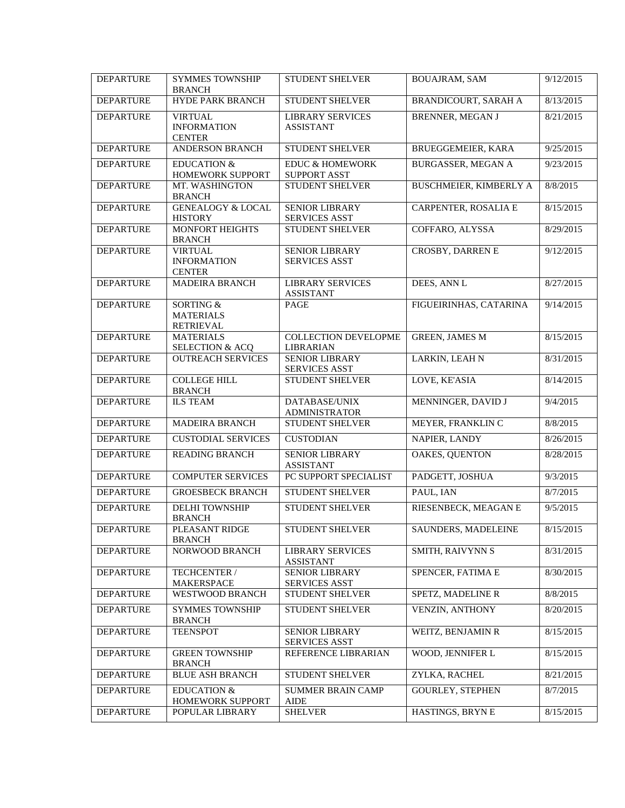| <b>DEPARTURE</b> | <b>SYMMES TOWNSHIP</b><br><b>BRANCH</b>               | STUDENT SHELVER                                   | <b>BOUAJRAM, SAM</b>          | 9/12/2015 |
|------------------|-------------------------------------------------------|---------------------------------------------------|-------------------------------|-----------|
| <b>DEPARTURE</b> | <b>HYDE PARK BRANCH</b>                               | STUDENT SHELVER                                   | BRANDICOURT, SARAH A          | 8/13/2015 |
| <b>DEPARTURE</b> | <b>VIRTUAL</b><br><b>INFORMATION</b><br><b>CENTER</b> | <b>LIBRARY SERVICES</b><br><b>ASSISTANT</b>       | <b>BRENNER, MEGAN J</b>       | 8/21/2015 |
| <b>DEPARTURE</b> | <b>ANDERSON BRANCH</b>                                | <b>STUDENT SHELVER</b>                            | BRUEGGEMEIER, KARA            | 9/25/2015 |
| <b>DEPARTURE</b> | <b>EDUCATION &amp;</b><br>HOMEWORK SUPPORT            | <b>EDUC &amp; HOMEWORK</b><br><b>SUPPORT ASST</b> | <b>BURGASSER, MEGAN A</b>     | 9/23/2015 |
| <b>DEPARTURE</b> | MT. WASHINGTON<br><b>BRANCH</b>                       | STUDENT SHELVER                                   | <b>BUSCHMEIER, KIMBERLY A</b> | 8/8/2015  |
| <b>DEPARTURE</b> | <b>GENEALOGY &amp; LOCAL</b><br><b>HISTORY</b>        | <b>SENIOR LIBRARY</b><br><b>SERVICES ASST</b>     | CARPENTER, ROSALIA E          | 8/15/2015 |
| <b>DEPARTURE</b> | MONFORT HEIGHTS<br><b>BRANCH</b>                      | <b>STUDENT SHELVER</b>                            | COFFARO, ALYSSA               | 8/29/2015 |
| <b>DEPARTURE</b> | <b>VIRTUAL</b><br><b>INFORMATION</b><br><b>CENTER</b> | SENIOR LIBRARY<br><b>SERVICES ASST</b>            | CROSBY, DARREN E              | 9/12/2015 |
| <b>DEPARTURE</b> | <b>MADEIRA BRANCH</b>                                 | <b>LIBRARY SERVICES</b><br><b>ASSISTANT</b>       | DEES, ANN L                   | 8/27/2015 |
| <b>DEPARTURE</b> | SORTING &<br><b>MATERIALS</b><br><b>RETRIEVAL</b>     | PAGE                                              | FIGUEIRINHAS, CATARINA        | 9/14/2015 |
| <b>DEPARTURE</b> | <b>MATERIALS</b><br><b>SELECTION &amp; ACQ</b>        | <b>COLLECTION DEVELOPME</b><br><b>LIBRARIAN</b>   | <b>GREEN, JAMES M</b>         | 8/15/2015 |
| <b>DEPARTURE</b> | <b>OUTREACH SERVICES</b>                              | <b>SENIOR LIBRARY</b><br><b>SERVICES ASST</b>     | LARKIN, LEAH N                | 8/31/2015 |
| <b>DEPARTURE</b> | <b>COLLEGE HILL</b><br><b>BRANCH</b>                  | STUDENT SHELVER                                   | LOVE, KE'ASIA                 | 8/14/2015 |
| <b>DEPARTURE</b> | <b>ILS TEAM</b>                                       | DATABASE/UNIX<br><b>ADMINISTRATOR</b>             | MENNINGER, DAVID J            | 9/4/2015  |
| <b>DEPARTURE</b> | <b>MADEIRA BRANCH</b>                                 | STUDENT SHELVER                                   | MEYER, FRANKLIN C             | 8/8/2015  |
| <b>DEPARTURE</b> | <b>CUSTODIAL SERVICES</b>                             | <b>CUSTODIAN</b>                                  | NAPIER, LANDY                 | 8/26/2015 |
| <b>DEPARTURE</b> | <b>READING BRANCH</b>                                 | <b>SENIOR LIBRARY</b><br><b>ASSISTANT</b>         | OAKES, QUENTON                | 8/28/2015 |
| <b>DEPARTURE</b> | <b>COMPUTER SERVICES</b>                              | PC SUPPORT SPECIALIST                             | PADGETT, JOSHUA               | 9/3/2015  |
| <b>DEPARTURE</b> | <b>GROESBECK BRANCH</b>                               | <b>STUDENT SHELVER</b>                            | PAUL, IAN                     | 8/7/2015  |
| <b>DEPARTURE</b> | <b>DELHI TOWNSHIP</b><br><b>BRANCH</b>                | STUDENT SHELVER                                   | RIESENBECK, MEAGAN E          | 9/5/2015  |
| <b>DEPARTURE</b> | PLEASANT RIDGE<br><b>BRANCH</b>                       | STUDENT SHELVER                                   | SAUNDERS, MADELEINE           | 8/15/2015 |
| <b>DEPARTURE</b> | NORWOOD BRANCH                                        | <b>LIBRARY SERVICES</b><br><b>ASSISTANT</b>       | SMITH, RAIVYNN S              | 8/31/2015 |
| <b>DEPARTURE</b> | TECHCENTER /<br>MAKERSPACE                            | <b>SENIOR LIBRARY</b><br><b>SERVICES ASST</b>     | SPENCER, FATIMA E             | 8/30/2015 |
| <b>DEPARTURE</b> | WESTWOOD BRANCH                                       | <b>STUDENT SHELVER</b>                            | SPETZ, MADELINE R             | 8/8/2015  |
| <b>DEPARTURE</b> | <b>SYMMES TOWNSHIP</b><br><b>BRANCH</b>               | STUDENT SHELVER                                   | <b>VENZIN, ANTHONY</b>        | 8/20/2015 |
| <b>DEPARTURE</b> | <b>TEENSPOT</b>                                       | <b>SENIOR LIBRARY</b><br><b>SERVICES ASST</b>     | WEITZ, BENJAMIN R             | 8/15/2015 |
| <b>DEPARTURE</b> | <b>GREEN TOWNSHIP</b><br><b>BRANCH</b>                | REFERENCE LIBRARIAN                               | WOOD, JENNIFER L              | 8/15/2015 |
| <b>DEPARTURE</b> | <b>BLUE ASH BRANCH</b>                                | STUDENT SHELVER                                   | ZYLKA, RACHEL                 | 8/21/2015 |
| <b>DEPARTURE</b> | <b>EDUCATION &amp;</b><br>HOMEWORK SUPPORT            | <b>SUMMER BRAIN CAMP</b><br><b>AIDE</b>           | <b>GOURLEY, STEPHEN</b>       | 8/7/2015  |
| <b>DEPARTURE</b> | POPULAR LIBRARY                                       | <b>SHELVER</b>                                    | HASTINGS, BRYN E              | 8/15/2015 |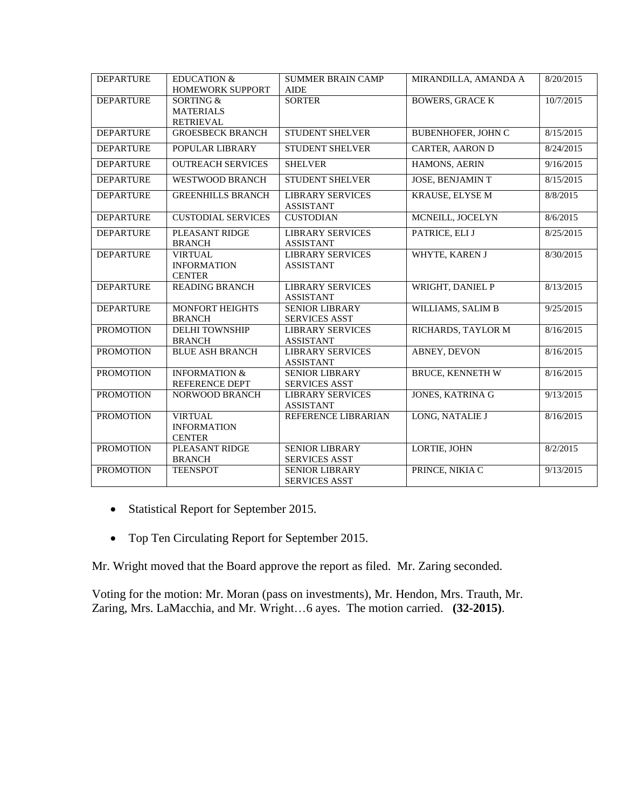| <b>DEPARTURE</b> | <b>EDUCATION &amp;</b><br>HOMEWORK SUPPORT                   | <b>SUMMER BRAIN CAMP</b><br><b>AIDE</b>       | MIRANDILLA, AMANDA A      | 8/20/2015 |
|------------------|--------------------------------------------------------------|-----------------------------------------------|---------------------------|-----------|
| <b>DEPARTURE</b> | <b>SORTING &amp;</b><br><b>MATERIALS</b><br><b>RETRIEVAL</b> | <b>SORTER</b>                                 | <b>BOWERS, GRACE K</b>    | 10/7/2015 |
| <b>DEPARTURE</b> | <b>GROESBECK BRANCH</b>                                      | <b>STUDENT SHELVER</b>                        | <b>BUBENHOFER, JOHN C</b> | 8/15/2015 |
| <b>DEPARTURE</b> | POPULAR LIBRARY                                              | STUDENT SHELVER                               | CARTER, AARON D           | 8/24/2015 |
| <b>DEPARTURE</b> | <b>OUTREACH SERVICES</b>                                     | <b>SHELVER</b>                                | HAMONS, AERIN             | 9/16/2015 |
| <b>DEPARTURE</b> | <b>WESTWOOD BRANCH</b>                                       | STUDENT SHELVER                               | <b>JOSE, BENJAMINT</b>    | 8/15/2015 |
| <b>DEPARTURE</b> | <b>GREENHILLS BRANCH</b>                                     | <b>LIBRARY SERVICES</b><br><b>ASSISTANT</b>   | <b>KRAUSE, ELYSE M</b>    | 8/8/2015  |
| <b>DEPARTURE</b> | <b>CUSTODIAL SERVICES</b>                                    | <b>CUSTODIAN</b>                              | MCNEILL, JOCELYN          | 8/6/2015  |
| <b>DEPARTURE</b> | PLEASANT RIDGE<br><b>BRANCH</b>                              | <b>LIBRARY SERVICES</b><br><b>ASSISTANT</b>   | PATRICE, ELI J            | 8/25/2015 |
| <b>DEPARTURE</b> | <b>VIRTUAL</b><br><b>INFORMATION</b><br><b>CENTER</b>        | <b>LIBRARY SERVICES</b><br><b>ASSISTANT</b>   | WHYTE, KAREN J            | 8/30/2015 |
| <b>DEPARTURE</b> | <b>READING BRANCH</b>                                        | <b>LIBRARY SERVICES</b><br><b>ASSISTANT</b>   | WRIGHT, DANIEL P          | 8/13/2015 |
| <b>DEPARTURE</b> | <b>MONFORT HEIGHTS</b><br><b>BRANCH</b>                      | <b>SENIOR LIBRARY</b><br><b>SERVICES ASST</b> | WILLIAMS, SALIM B         | 9/25/2015 |
| <b>PROMOTION</b> | <b>DELHI TOWNSHIP</b><br><b>BRANCH</b>                       | <b>LIBRARY SERVICES</b><br><b>ASSISTANT</b>   | RICHARDS, TAYLOR M        | 8/16/2015 |
| <b>PROMOTION</b> | <b>BLUE ASH BRANCH</b>                                       | <b>LIBRARY SERVICES</b><br><b>ASSISTANT</b>   | <b>ABNEY, DEVON</b>       | 8/16/2015 |
| <b>PROMOTION</b> | <b>INFORMATION &amp;</b><br><b>REFERENCE DEPT</b>            | <b>SENIOR LIBRARY</b><br><b>SERVICES ASST</b> | <b>BRUCE, KENNETH W</b>   | 8/16/2015 |
| <b>PROMOTION</b> | NORWOOD BRANCH                                               | <b>LIBRARY SERVICES</b><br><b>ASSISTANT</b>   | JONES, KATRINA G          | 9/13/2015 |
| <b>PROMOTION</b> | <b>VIRTUAL</b><br><b>INFORMATION</b><br><b>CENTER</b>        | REFERENCE LIBRARIAN                           | LONG, NATALIE J           | 8/16/2015 |
| <b>PROMOTION</b> | PLEASANT RIDGE<br><b>BRANCH</b>                              | <b>SENIOR LIBRARY</b><br><b>SERVICES ASST</b> | LORTIE, JOHN              | 8/2/2015  |
| <b>PROMOTION</b> | <b>TEENSPOT</b>                                              | <b>SENIOR LIBRARY</b><br><b>SERVICES ASST</b> | PRINCE, NIKIA C           | 9/13/2015 |

- Statistical Report for September 2015.
- Top Ten Circulating Report for September 2015.

Mr. Wright moved that the Board approve the report as filed. Mr. Zaring seconded.

Voting for the motion: Mr. Moran (pass on investments), Mr. Hendon, Mrs. Trauth, Mr. Zaring, Mrs. LaMacchia, and Mr. Wright…6 ayes. The motion carried. **(32-2015)**.